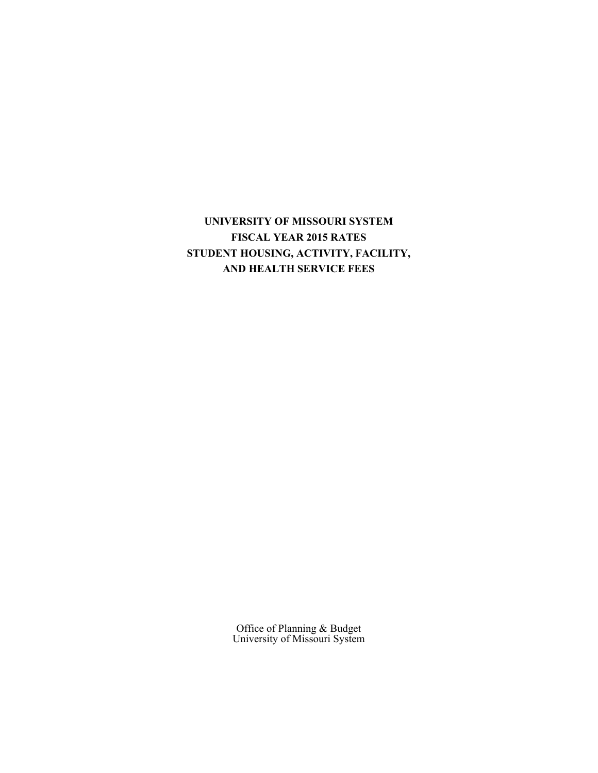**UNIVERSITY OF MISSOURI SYSTEM FISCAL YEAR 2015 RATES STUDENT HOUSING, ACTIVITY, FACILITY, AND HEALTH SERVICE FEES** 

> Office of Planning & Budget University of Missouri System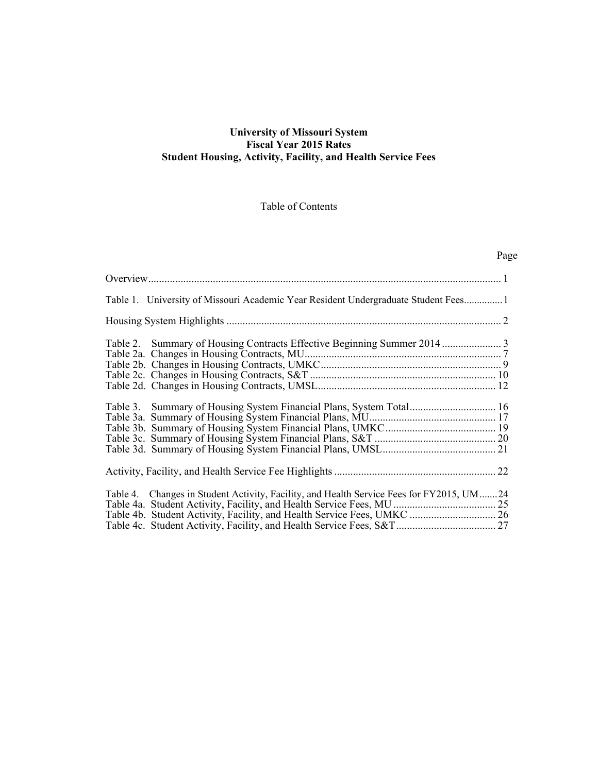### **University of Missouri System Fiscal Year 2015 Rates Student Housing, Activity, Facility, and Health Service Fees**

# Table of Contents

# Page

| Table 1. University of Missouri Academic Year Resident Undergraduate Student Fees1                                                                                  |
|---------------------------------------------------------------------------------------------------------------------------------------------------------------------|
|                                                                                                                                                                     |
|                                                                                                                                                                     |
| Table 3. Summary of Housing System Financial Plans, System Total 16                                                                                                 |
|                                                                                                                                                                     |
| Table 4. Changes in Student Activity, Facility, and Health Service Fees for FY2015, UM24<br>Table 4b. Student Activity, Facility, and Health Service Fees, UMKC  26 |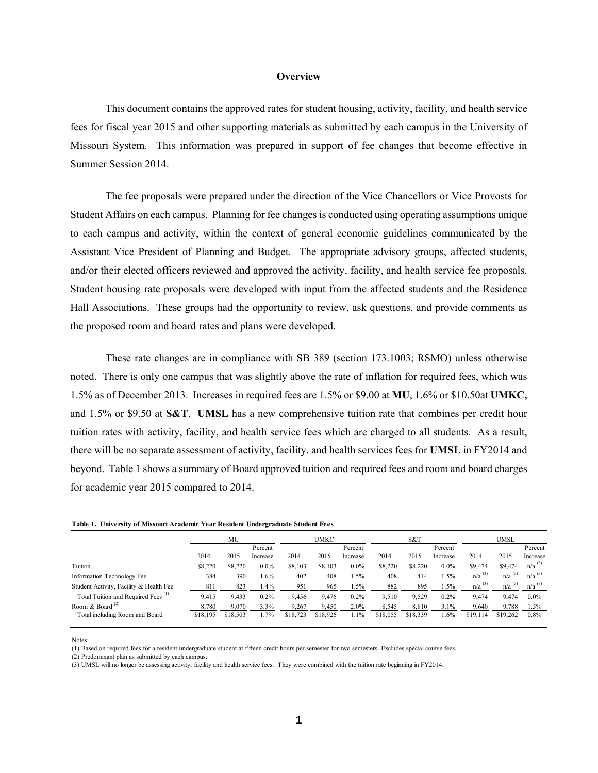#### **Overview**

<span id="page-2-0"></span> This document contains the approved rates for student housing, activity, facility, and health service Missouri System. This information was prepared in support of fee changes that become effective in fees for fiscal year 2015 and other supporting materials as submitted by each campus in the University of Summer Session 2014.

 The fee proposals were prepared under the direction of the Vice Chancellors or Vice Provosts for to each campus and activity, within the context of general economic guidelines communicated by the and/or their elected officers reviewed and approved the activity, facility, and health service fee proposals. Student Affairs on each campus. Planning for fee changes is conducted using operating assumptions unique Assistant Vice President of Planning and Budget. The appropriate advisory groups, affected students, Student housing rate proposals were developed with input from the affected students and the Residence Hall Associations. These groups had the opportunity to review, ask questions, and provide comments as the proposed room and board rates and plans were developed.

 1.5% as of December 2013. Increases in required fees are 1.5% or \$9.00 at **MU**, 1.6% or \$10.50at **UMKC,**  and 1.5% or \$9.50 at **S&T**. **UMSL** has a new comprehensive tuition rate that combines per credit hour tuition rates with activity, facility, and health service fees which are charged to all students. As a result, beyond. Table 1 shows a summary of Board approved tuition and required fees and room and board charges These rate changes are in compliance with SB 389 (section 173.1003; RSMO) unless otherwise noted. There is only one campus that was slightly above the rate of inflation for required fees, which was there will be no separate assessment of activity, facility, and health services fees for **UMSL** in FY2014 and for academic year 2015 compared to 2014.

|                                                | MU       |          | UMKC     |          |          | S&T      |          | UMSL     |          |                      |                      |                      |
|------------------------------------------------|----------|----------|----------|----------|----------|----------|----------|----------|----------|----------------------|----------------------|----------------------|
|                                                |          |          | Percent  |          |          | Percent  |          |          | Percent  |                      |                      | Percent              |
|                                                | 2014     | 2015     | Increase | 2014     | 2015     | Increase | 2014     | 2015     | Increase | 2014                 | 2015                 | Increase             |
| Tuition                                        | \$8,220  | \$8,220  | $0.0\%$  | \$8,103  | \$8,103  | $0.0\%$  | \$8,220  | \$8,220  | $0.0\%$  | \$9,474              | \$9,474              | $n/a$ <sup>(3)</sup> |
| Information Technology Fee                     | 384      | 390      | 1.6%     | 402      | 408      | $1.5\%$  | 408      | 414      | $1.5\%$  | $n/a$ <sup>(3)</sup> | $n/a$ <sup>(3)</sup> | $n/a$ <sup>(3)</sup> |
| Student Activity, Facility & Health Fee        | 811      | 823      | 1.4%     | 951      | 965      | $1.5\%$  | 882      | 895      | 1.5%     | $n/a$ <sup>(3)</sup> | $n/a$ <sup>(3)</sup> | $n/a$ <sup>(3)</sup> |
| Total Tuition and Required Fees <sup>(1)</sup> | 9.415    | 9,433    | 0.2%     | 9.456    | 9.476    | 0.2%     | 9.510    | 9,529    | 0.2%     | 9,474                | 9.474                | $0.0\%$              |
| Room & Board $^{(2)}$                          | 8.780    | 9,070    | 3.3%     | 9,267    | 9,450    | 2.0%     | 8,545    | 8,810    | 3.1%     | 9,640                | 9,788                | 1.5%                 |
| Total including Room and Board                 | \$18,195 | \$18,503 | 1.7%     | \$18,723 | \$18,926 | 1.1%     | \$18,055 | \$18,339 | 1.6%     | \$19,114             | \$19,262             | $0.8\%$              |

 **Table 1. University of Missouri Academic Year Resident Undergraduate Student Fees** 

Notes:

(1) Based on required fees for a resident undergraduate student at fifteen credit hours per semester for two semesters. Excludes special course fees.

(2) Predominant plan as submitted by each campus.

(3) UMSL will no longer be assessing activity, facility and health service fees. They were combined with the tuition rate beginning in FY2014.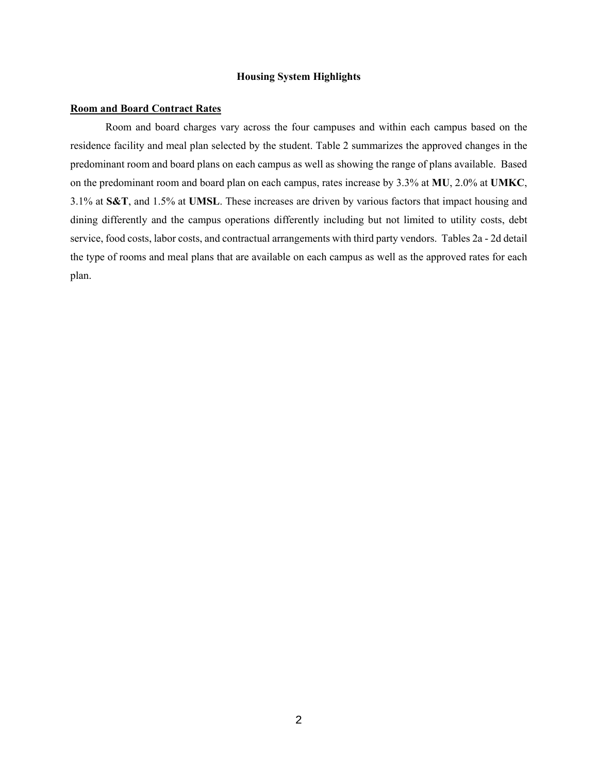#### **Housing System Highlights**

#### <span id="page-3-0"></span>**Room and Board Contract Rates**

 residence facility and meal plan selected by the student. Table 2 summarizes the approved changes in the predominant room and board plans on each campus as well as showing the range of plans available. Based dining differently and the campus operations differently including but not limited to utility costs, debt service, food costs, labor costs, and contractual arrangements with third party vendors. Tables 2a - 2d detail Room and board charges vary across the four campuses and within each campus based on the on the predominant room and board plan on each campus, rates increase by 3.3% at **MU**, 2.0% at **UMKC**, 3.1% at **S&T**, and 1.5% at **UMSL**. These increases are driven by various factors that impact housing and the type of rooms and meal plans that are available on each campus as well as the approved rates for each plan.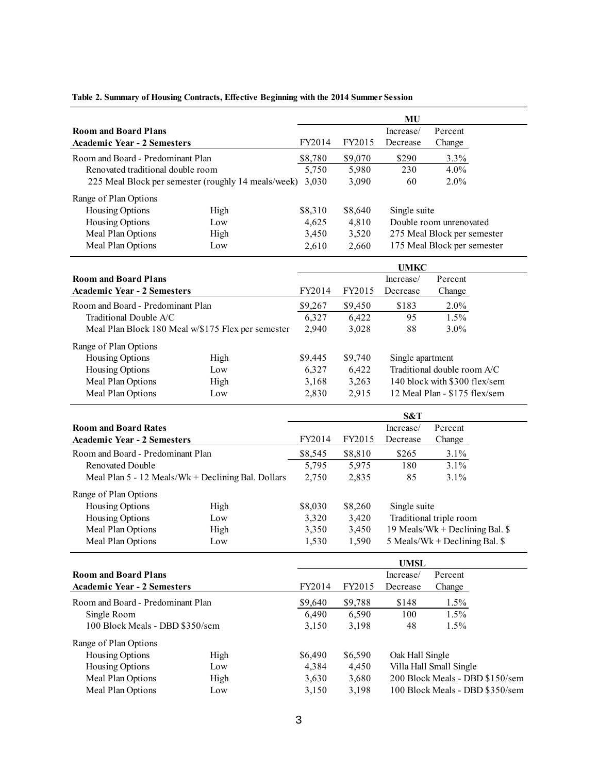|                                    |                                                     |         |         | MU                       |                                 |
|------------------------------------|-----------------------------------------------------|---------|---------|--------------------------|---------------------------------|
| <b>Room and Board Plans</b>        |                                                     |         |         | Increase/                | Percent                         |
| <b>Academic Year - 2 Semesters</b> |                                                     | FY2014  | FY2015  | Decrease                 | Change                          |
| Room and Board - Predominant Plan  |                                                     | \$8,780 | \$9,070 | \$290                    | 3.3%                            |
| Renovated traditional double room  |                                                     | 5,750   | 5,980   | 230                      | 4.0%                            |
|                                    | 225 Meal Block per semester (roughly 14 meals/week) | 3,030   | 3,090   | 60                       | 2.0%                            |
| Range of Plan Options              |                                                     |         |         |                          |                                 |
| Housing Options                    | High                                                | \$8,310 | \$8,640 | Single suite             |                                 |
| Housing Options                    | Low                                                 | 4,625   | 4,810   |                          | Double room unrenovated         |
| Meal Plan Options                  | High                                                | 3,450   | 3,520   |                          | 275 Meal Block per semester     |
| Meal Plan Options                  | Low                                                 | 2,610   | 2,660   |                          | 175 Meal Block per semester     |
|                                    |                                                     |         |         |                          |                                 |
|                                    |                                                     |         |         | <b>UMKC</b>              |                                 |
| <b>Room and Board Plans</b>        |                                                     |         |         | Increase/                | Percent                         |
| <b>Academic Year - 2 Semesters</b> |                                                     | FY2014  | FY2015  | Decrease                 | Change                          |
| Room and Board - Predominant Plan  |                                                     | \$9,267 | \$9,450 | \$183                    | 2.0%                            |
| Traditional Double A/C             |                                                     | 6,327   | 6,422   | 95                       | 1.5%                            |
|                                    | Meal Plan Block 180 Meal w/\$175 Flex per semester  | 2,940   | 3,028   | 88                       | 3.0%                            |
| Range of Plan Options              |                                                     |         |         |                          |                                 |
| Housing Options                    | High                                                | \$9,445 | \$9,740 | Single apartment         |                                 |
| Housing Options                    | Low                                                 | 6,327   | 6,422   |                          | Traditional double room A/C     |
| Meal Plan Options                  | High                                                | 3,168   | 3,263   |                          | 140 block with \$300 flex/sem   |
| Meal Plan Options                  | Low                                                 | 2,830   | 2,915   |                          | 12 Meal Plan - \$175 flex/sem   |
|                                    |                                                     |         |         |                          |                                 |
|                                    |                                                     |         |         | S&T                      |                                 |
| <b>Room and Board Rates</b>        |                                                     |         |         | Increase/                | Percent                         |
| <b>Academic Year - 2 Semesters</b> |                                                     | FY2014  | FY2015  | Decrease                 | Change                          |
| Room and Board - Predominant Plan  |                                                     | \$8,545 | \$8,810 | \$265                    | 3.1%                            |
| Renovated Double                   |                                                     | 5,795   | 5,975   | 180                      | 3.1%                            |
|                                    | Meal Plan 5 - 12 Meals/Wk + Declining Bal. Dollars  | 2,750   | 2,835   | 85                       | 3.1%                            |
| Range of Plan Options              |                                                     |         |         |                          |                                 |
| Housing Options                    | High                                                | \$8,030 | \$8,260 | Single suite             |                                 |
| Housing Options                    | Low                                                 | 3,320   | 3,420   |                          | Traditional triple room         |
| Meal Plan Options                  | High                                                | 3,350   | 3,450   |                          | 19 Meals/Wk + Declining Bal. \$ |
| Meal Plan Options                  | Low                                                 | 1,530   | 1,590   |                          | 5 Meals/Wk + Declining Bal. \$  |
|                                    |                                                     |         |         |                          |                                 |
| <b>Room and Board Plans</b>        |                                                     |         |         | <b>UMSL</b><br>Increase/ | Percent                         |
| <b>Academic Year - 2 Semesters</b> |                                                     | FY2014  | FY2015  | Decrease                 | Change                          |
|                                    |                                                     |         |         |                          |                                 |
| Room and Board - Predominant Plan  |                                                     | \$9,640 | \$9,788 | \$148                    | 1.5%                            |
| Single Room                        |                                                     | 6,490   | 6,590   | 100                      | 1.5%                            |
| 100 Block Meals - DBD \$350/sem    |                                                     | 3,150   | 3,198   | 48                       | 1.5%                            |
| Range of Plan Options              |                                                     |         |         |                          |                                 |
| Housing Options                    | High                                                | \$6,490 | \$6,590 | Oak Hall Single          |                                 |
| Housing Options                    | Low                                                 | 4,384   | 4,450   |                          | Villa Hall Small Single         |
| Meal Plan Options                  | High                                                | 3,630   | 3,680   |                          | 200 Block Meals - DBD \$150/sem |
| Meal Plan Options                  | Low                                                 | 3,150   | 3,198   |                          | 100 Block Meals - DBD \$350/sem |

#### **Table 2. Summary of Housing Contracts, Effective Beginning with the 2014 Summer Session**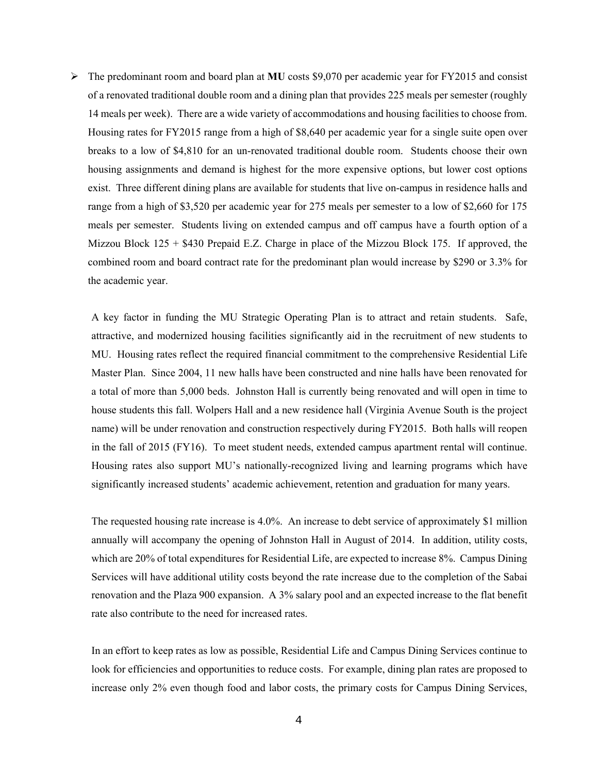14 meals per week). There are a wide variety of accommodations and housing facilities to choose from. breaks to a low of \$4,810 for an un-renovated traditional double room. Students choose their own exist. Three different dining plans are available for students that live on-campus in residence halls and range from a high of \$3,520 per academic year for 275 meals per semester to a low of \$2,660 for 175  meals per semester. Students living on extended campus and off campus have a fourth option of a  $\triangleright$  The predominant room and board plan at **MU** costs \$9,070 per academic year for FY2015 and consist of a renovated traditional double room and a dining plan that provides 225 meals per semester (roughly Housing rates for FY2015 range from a high of \$8,640 per academic year for a single suite open over housing assignments and demand is highest for the more expensive options, but lower cost options Mizzou Block  $125 + $430$  Prepaid E.Z. Charge in place of the Mizzou Block 175. If approved, the combined room and board contract rate for the predominant plan would increase by \$290 or 3.3% for the academic year.

 A key factor in funding the MU Strategic Operating Plan is to attract and retain students. Safe, attractive, and modernized housing facilities significantly aid in the recruitment of new students to MU. Housing rates reflect the required financial commitment to the comprehensive Residential Life a total of more than 5,000 beds. Johnston Hall is currently being renovated and will open in time to house students this fall. Wolpers Hall and a new residence hall (Virginia Avenue South is the project in the fall of 2015 (FY16). To meet student needs, extended campus apartment rental will continue. Master Plan. Since 2004, 11 new halls have been constructed and nine halls have been renovated for name) will be under renovation and construction respectively during FY2015. Both halls will reopen Housing rates also support MU's nationally-recognized living and learning programs which have significantly increased students' academic achievement, retention and graduation for many years.

 annually will accompany the opening of Johnston Hall in August of 2014. In addition, utility costs, which are 20% of total expenditures for Residential Life, are expected to increase 8%. Campus Dining renovation and the Plaza 900 expansion. A 3% salary pool and an expected increase to the flat benefit The requested housing rate increase is 4.0%. An increase to debt service of approximately \$1 million Services will have additional utility costs beyond the rate increase due to the completion of the Sabai rate also contribute to the need for increased rates.

In an effort to keep rates as low as possible, Residential Life and Campus Dining Services continue to look for efficiencies and opportunities to reduce costs. For example, dining plan rates are proposed to increase only 2% even though food and labor costs, the primary costs for Campus Dining Services,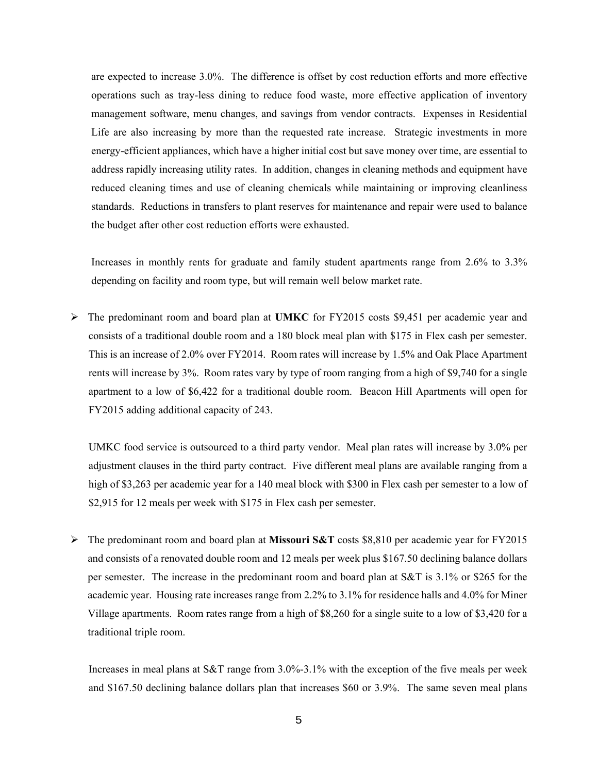Life are also increasing by more than the requested rate increase. Strategic investments in more are expected to increase 3.0%. The difference is offset by cost reduction efforts and more effective operations such as tray-less dining to reduce food waste, more effective application of inventory management software, menu changes, and savings from vendor contracts. Expenses in Residential energy-efficient appliances, which have a higher initial cost but save money over time, are essential to address rapidly increasing utility rates. In addition, changes in cleaning methods and equipment have reduced cleaning times and use of cleaning chemicals while maintaining or improving cleanliness standards. Reductions in transfers to plant reserves for maintenance and repair were used to balance the budget after other cost reduction efforts were exhausted.

 Increases in monthly rents for graduate and family student apartments range from 2.6% to 3.3% depending on facility and room type, but will remain well below market rate.

 The predominant room and board plan at **UMKC** for FY2015 costs \$9,451 per academic year and consists of a traditional double room and a 180 block meal plan with \$175 in Flex cash per semester. This is an increase of 2.0% over FY2014. Room rates will increase by 1.5% and Oak Place Apartment rents will increase by 3%. Room rates vary by type of room ranging from a high of \$9,740 for a single apartment to a low of \$6,422 for a traditional double room. Beacon Hill Apartments will open for FY2015 adding additional capacity of 243.

 UMKC food service is outsourced to a third party vendor. Meal plan rates will increase by 3.0% per adjustment clauses in the third party contract. Five different meal plans are available ranging from a high of \$3,263 per academic year for a 140 meal block with \$300 in Flex cash per semester to a low of \$2,915 for 12 meals per week with \$175 in Flex cash per semester.

 The predominant room and board plan at **Missouri S&T** costs \$8,810 per academic year for FY2015 and consists of a renovated double room and 12 meals per week plus \$167.50 declining balance dollars per semester. The increase in the predominant room and board plan at S&T is 3.1% or \$265 for the academic year. Housing rate increases range from 2.2% to 3.1% for residence halls and 4.0% for Miner Village apartments. Room rates range from a high of \$8,260 for a single suite to a low of \$3,420 for a traditional triple room.

 Increases in meal plans at S&T range from 3.0%-3.1% with the exception of the five meals per week and \$167.50 declining balance dollars plan that increases \$60 or 3.9%. The same seven meal plans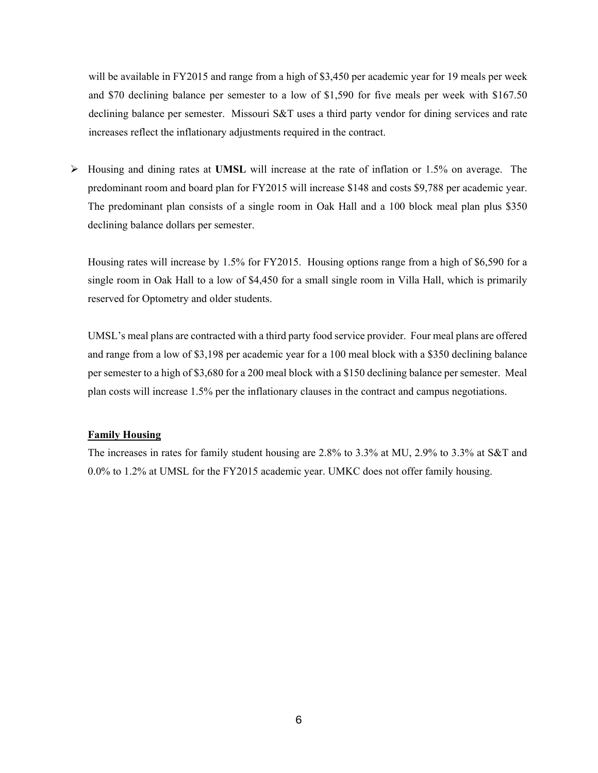will be available in FY2015 and range from a high of \$3,450 per academic year for 19 meals per week and \$70 declining balance per semester to a low of \$1,590 for five meals per week with \$167.50 declining balance per semester. Missouri S&T uses a third party vendor for dining services and rate increases reflect the inflationary adjustments required in the contract.

 The predominant plan consists of a single room in Oak Hall and a 100 block meal plan plus \$350 Housing and dining rates at **UMSL** will increase at the rate of inflation or 1.5% on average. The predominant room and board plan for FY2015 will increase \$148 and costs \$9,788 per academic year. declining balance dollars per semester.

 Housing rates will increase by 1.5% for FY2015. Housing options range from a high of \$6,590 for a single room in Oak Hall to a low of \$4,450 for a small single room in Villa Hall, which is primarily reserved for Optometry and older students.

 UMSL's meal plans are contracted with a third party food service provider. Four meal plans are offered per semester to a high of \$3,680 for a 200 meal block with a \$150 declining balance per semester. Meal and range from a low of \$3,198 per academic year for a 100 meal block with a \$350 declining balance plan costs will increase 1.5% per the inflationary clauses in the contract and campus negotiations.

### **Family Housing**

 The increases in rates for family student housing are 2.8% to 3.3% at MU, 2.9% to 3.3% at S&T and 0.0% to 1.2% at UMSL for the FY2015 academic year. UMKC does not offer family housing.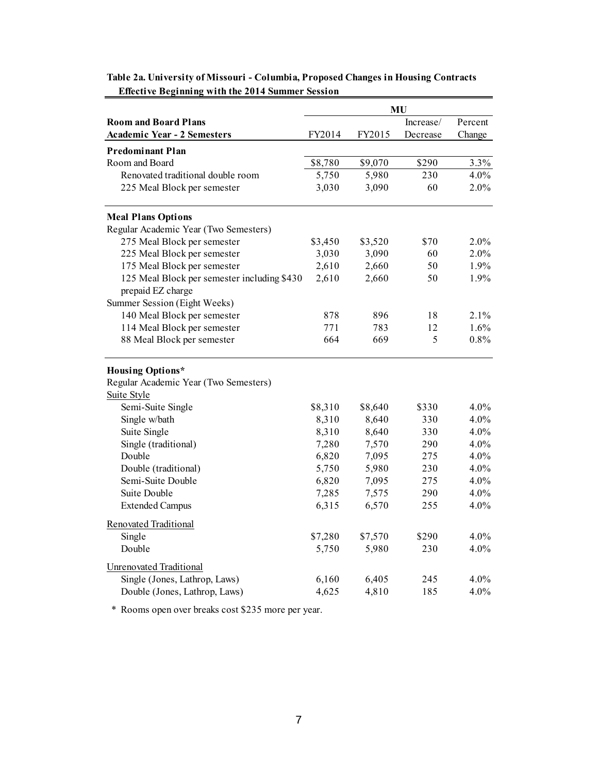|                                                                  | MU      |         |           |         |  |
|------------------------------------------------------------------|---------|---------|-----------|---------|--|
| <b>Room and Board Plans</b>                                      |         |         | Increase/ | Percent |  |
| <b>Academic Year - 2 Semesters</b>                               | FY2014  | FY2015  | Decrease  | Change  |  |
| <b>Predominant Plan</b>                                          |         |         |           |         |  |
| Room and Board                                                   | \$8,780 | \$9,070 | \$290     | 3.3%    |  |
| Renovated traditional double room                                | 5,750   | 5,980   | 230       | 4.0%    |  |
| 225 Meal Block per semester                                      | 3,030   | 3,090   | 60        | 2.0%    |  |
| <b>Meal Plans Options</b>                                        |         |         |           |         |  |
| Regular Academic Year (Two Semesters)                            |         |         |           |         |  |
| 275 Meal Block per semester                                      | \$3,450 | \$3,520 | \$70      | 2.0%    |  |
| 225 Meal Block per semester                                      | 3,030   | 3,090   | 60        | 2.0%    |  |
| 175 Meal Block per semester                                      | 2,610   | 2,660   | 50        | 1.9%    |  |
| 125 Meal Block per semester including \$430<br>prepaid EZ charge | 2,610   | 2,660   | 50        | 1.9%    |  |
| Summer Session (Eight Weeks)                                     |         |         |           |         |  |
| 140 Meal Block per semester                                      | 878     | 896     | 18        | 2.1%    |  |
| 114 Meal Block per semester                                      | 771     | 783     | 12        | 1.6%    |  |
| 88 Meal Block per semester                                       | 664     | 669     | 5         | 0.8%    |  |
| <b>Housing Options*</b>                                          |         |         |           |         |  |
| Regular Academic Year (Two Semesters)                            |         |         |           |         |  |
| Suite Style                                                      |         |         |           |         |  |
| Semi-Suite Single                                                | \$8,310 | \$8,640 | \$330     | 4.0%    |  |
| Single w/bath                                                    | 8,310   | 8,640   | 330       | 4.0%    |  |
| Suite Single                                                     | 8,310   | 8,640   | 330       | 4.0%    |  |
| Single (traditional)                                             | 7,280   | 7,570   | 290       | 4.0%    |  |
| Double                                                           | 6,820   | 7,095   | 275       | 4.0%    |  |
| Double (traditional)                                             | 5,750   | 5,980   | 230       | 4.0%    |  |
| Semi-Suite Double                                                | 6,820   | 7,095   | 275       | 4.0%    |  |
| Suite Double                                                     | 7,285   | 7,575   | 290       | 4.0%    |  |
| <b>Extended Campus</b>                                           | 6,315   | 6,570   | 255       | 4.0%    |  |
| <b>Renovated Traditional</b>                                     |         |         |           |         |  |
| Single                                                           | \$7,280 | \$7,570 | \$290     | 4.0%    |  |
| Double                                                           | 5,750   | 5,980   | 230       | 4.0%    |  |
| <b>Unrenovated Traditional</b>                                   |         |         |           |         |  |
| Single (Jones, Lathrop, Laws)                                    | 6,160   | 6,405   | 245       | 4.0%    |  |
| Double (Jones, Lathrop, Laws)                                    | 4,625   | 4,810   | 185       | 4.0%    |  |

 **Table 2a. University of Missouri - Columbia, Proposed Changes in Housing Contracts Effective Beginning with the 2014 Summer Session** 

\* Rooms open over breaks cost \$235 more per year.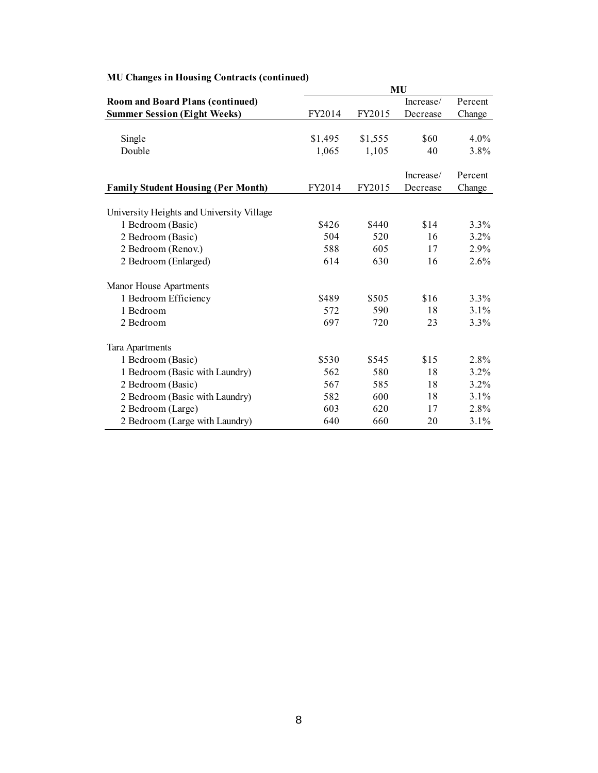|                                           | MU      |         |           |         |  |
|-------------------------------------------|---------|---------|-----------|---------|--|
| <b>Room and Board Plans (continued)</b>   |         |         | Increase/ | Percent |  |
| <b>Summer Session (Eight Weeks)</b>       | FY2014  | FY2015  | Decrease  | Change  |  |
|                                           |         |         |           |         |  |
| Single                                    | \$1,495 | \$1,555 | \$60      | 4.0%    |  |
| Double                                    | 1,065   | 1,105   | 40        | 3.8%    |  |
|                                           |         |         |           |         |  |
|                                           |         |         | Increase/ | Percent |  |
| <b>Family Student Housing (Per Month)</b> | FY2014  | FY2015  | Decrease  | Change  |  |
| University Heights and University Village |         |         |           |         |  |
| 1 Bedroom (Basic)                         | \$426   | \$440   | \$14      | 3.3%    |  |
| 2 Bedroom (Basic)                         | 504     | 520     | 16        | 3.2%    |  |
| 2 Bedroom (Renov.)                        | 588     | 605     | 17        | 2.9%    |  |
| 2 Bedroom (Enlarged)                      | 614     | 630     | 16        | 2.6%    |  |
| Manor House Apartments                    |         |         |           |         |  |
| 1 Bedroom Efficiency                      | \$489   | \$505   | \$16      | 3.3%    |  |
| 1 Bedroom                                 | 572     | 590     | 18        | 3.1%    |  |
| 2 Bedroom                                 | 697     | 720     | 23        | 3.3%    |  |
| Tara Apartments                           |         |         |           |         |  |
| 1 Bedroom (Basic)                         | \$530   | \$545   | \$15      | 2.8%    |  |
| 1 Bedroom (Basic with Laundry)            | 562     | 580     | 18        | 3.2%    |  |
| 2 Bedroom (Basic)                         | 567     | 585     | 18        | $3.2\%$ |  |
| 2 Bedroom (Basic with Laundry)            | 582     | 600     | 18        | 3.1%    |  |
| 2 Bedroom (Large)                         | 603     | 620     | 17        | 2.8%    |  |
| 2 Bedroom (Large with Laundry)            | 640     | 660     | 20        | 3.1%    |  |

#### **MU Changes in Housing Contracts (continued)**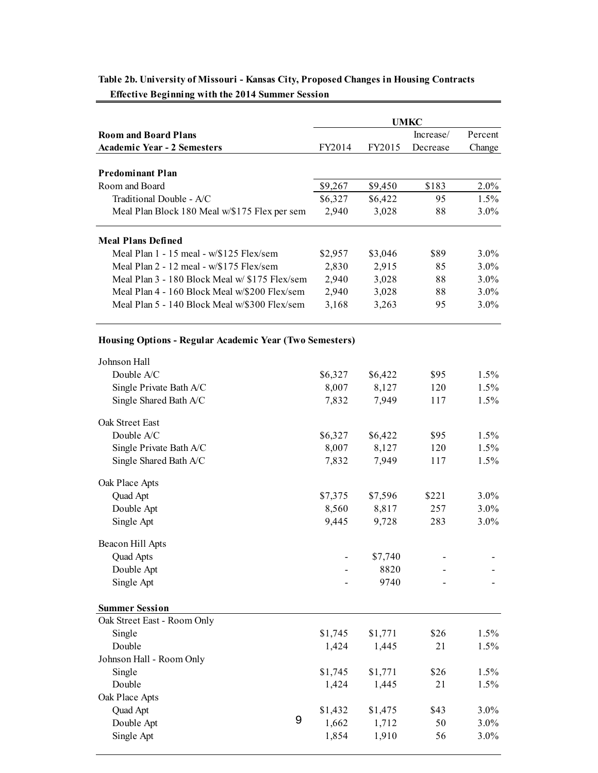| <b>Room and Board Plans</b>                       |         |         | Increase/ | Percent |
|---------------------------------------------------|---------|---------|-----------|---------|
| <b>Academic Year - 2 Semesters</b>                | FY2014  | FY2015  | Decrease  | Change  |
| <b>Predominant Plan</b>                           |         |         |           |         |
| Room and Board                                    | \$9,267 | \$9,450 | \$183     | $2.0\%$ |
| Traditional Double - A/C                          | \$6,327 | \$6,422 | 95        | $1.5\%$ |
| Meal Plan Block 180 Meal w/\$175 Flex per sem     | 2,940   | 3,028   | 88        | $3.0\%$ |
| <b>Meal Plans Defined</b>                         |         |         |           |         |
| Meal Plan $1 - 15$ meal - $w\sqrt{3125}$ Flex/sem | \$2,957 | \$3,046 | \$89      | $3.0\%$ |
| Meal Plan $2 - 12$ meal - w/\$175 Flex/sem        | 2,830   | 2,915   | 85        | $3.0\%$ |
| Meal Plan 3 - 180 Block Meal w/ \$175 Flex/sem    | 2,940   | 3,028   | 88        | $3.0\%$ |
| Meal Plan 4 - 160 Block Meal w/\$200 Flex/sem     | 2,940   | 3,028   | 88        | $3.0\%$ |
| Meal Plan 5 - 140 Block Meal w/\$300 Flex/sem     | 3,168   | 3.263   | 95        | $3.0\%$ |

# **Table 2b. University of Missouri - Kansas City, Proposed Changes in Housing Contracts**

 **Effective Beginning with the 2014 Summer Session** 

#### **Housing Options - Regular Academic Year (Two Semesters)**

| \$6,327 | \$6,422      | \$95  | $1.5\%$ |
|---------|--------------|-------|---------|
| 8,007   | 8,127        | 120   | 1.5%    |
| 7,832   | 7,949        | 117   | 1.5%    |
|         |              |       |         |
|         | \$6,422      | \$95  | 1.5%    |
| 8,007   | 8,127        | 120   | 1.5%    |
| 7,832   | 7,949        | 117   | 1.5%    |
|         |              |       |         |
| \$7,375 | \$7,596      | \$221 | 3.0%    |
| 8,560   | 8,817        | 257   | 3.0%    |
| 9,445   | 9,728        | 283   | 3.0%    |
|         |              |       |         |
|         | \$7,740      |       |         |
|         | 8820         |       |         |
|         | 9740         |       |         |
|         |              |       |         |
|         |              |       |         |
| \$1,745 | \$1,771      | \$26  | 1.5%    |
| 1,424   | 1,445        | 21    | 1.5%    |
|         |              |       |         |
| \$1,745 | \$1,771      | \$26  | 1.5%    |
| 1,424   | 1,445        | 21    | 1.5%    |
|         |              |       |         |
| \$1,432 | \$1,475      | \$43  | 3.0%    |
| 1,662   | 1,712        | 50    | 3.0%    |
| 1,854   | 1,910        | 56    | 3.0%    |
|         | \$6,327<br>9 |       |         |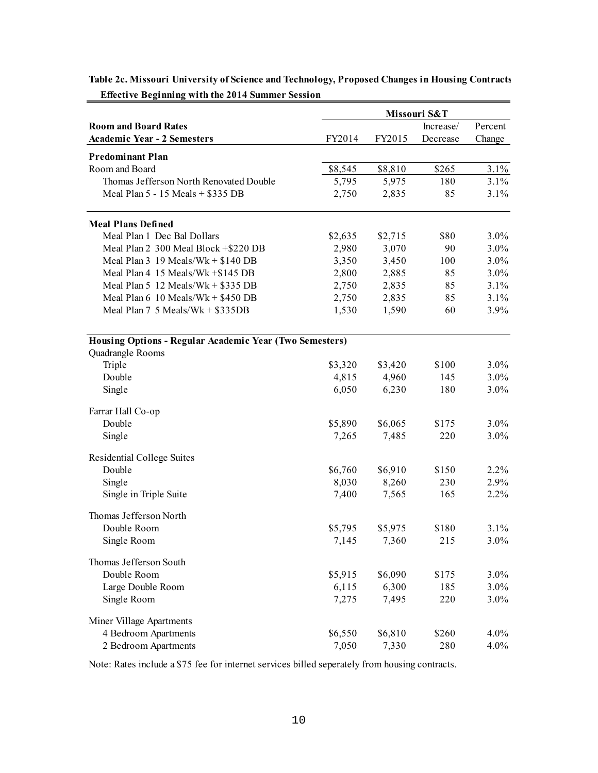|                                                         | Missouri S&T |                  |              |         |
|---------------------------------------------------------|--------------|------------------|--------------|---------|
| <b>Room and Board Rates</b>                             |              |                  | Increase/    | Percent |
| <b>Academic Year - 2 Semesters</b>                      | FY2014       | FY2015           | Decrease     | Change  |
|                                                         |              |                  |              |         |
| <b>Predominant Plan</b><br>Room and Board               | \$8,545      |                  | \$265        | 3.1%    |
| Thomas Jefferson North Renovated Double                 | 5,795        | \$8,810<br>5,975 | 180          | 3.1%    |
| Meal Plan 5 - 15 Meals + \$335 DB                       |              |                  |              |         |
|                                                         | 2,750        | 2,835            | 85           | $3.1\%$ |
| <b>Meal Plans Defined</b>                               |              |                  |              |         |
| Meal Plan 1 Dec Bal Dollars                             | \$2,635      | \$2,715          | \$80         | $3.0\%$ |
| Meal Plan 2 300 Meal Block +\$220 DB                    | 2,980        | 3,070            | 90           | $3.0\%$ |
| Meal Plan $3\,19$ Meals/Wk + $$140$ DB                  | 3,350        | 3,450            | 100          | $3.0\%$ |
| Meal Plan 4 15 Meals/Wk + \$145 DB                      | 2,800        | 2,885            | 85           | $3.0\%$ |
| Meal Plan 5 12 Meals/Wk + $$335$ DB                     | 2,750        | 2,835            | 85           | 3.1%    |
| Meal Plan $6\;10$ Meals/Wk + \$450 DB                   | 2,750        | 2,835            | 85           | 3.1%    |
| Meal Plan $7\,5$ Meals/Wk + $$335DB$                    | 1,530        | 1,590            | 60           | 3.9%    |
|                                                         |              |                  |              |         |
| Housing Options - Regular Academic Year (Two Semesters) |              |                  |              |         |
| Quadrangle Rooms                                        |              |                  |              |         |
| Triple                                                  | \$3,320      | \$3,420          | \$100        | $3.0\%$ |
| Double                                                  | 4,815        | 4,960            | 145          | $3.0\%$ |
| Single                                                  | 6,050        | 6,230            | 180          | $3.0\%$ |
| Farrar Hall Co-op                                       |              |                  |              |         |
| Double                                                  | \$5,890      | \$6,065          | \$175        | $3.0\%$ |
| Single                                                  | 7,265        | 7,485            | 220          | $3.0\%$ |
| Residential College Suites                              |              |                  |              |         |
| Double                                                  | \$6,760      | \$6,910          | \$150        | $2.2\%$ |
| Single                                                  | 8,030        | 8,260            | 230          | 2.9%    |
| Single in Triple Suite                                  | 7,400        | 7,565            | 165          | $2.2\%$ |
| Thomas Jefferson North                                  |              |                  |              |         |
| Double Room                                             | \$5,795      | \$5,975          | \$180        | 3.1%    |
| Single Room                                             | 7,145        | 7,360            | 215          | 3.0%    |
| Thomas Jefferson South                                  |              |                  |              |         |
| Double Room                                             |              |                  |              | $3.0\%$ |
|                                                         | \$5,915      | \$6,090<br>6,300 | \$175<br>185 |         |
| Large Double Room                                       | 6,115        |                  |              | $3.0\%$ |
| Single Room                                             | 7,275        | 7,495            | 220          | $3.0\%$ |
| Miner Village Apartments                                |              |                  |              |         |
| 4 Bedroom Apartments                                    | \$6,550      | \$6,810          | \$260        | $4.0\%$ |
| 2 Bedroom Apartments                                    | 7,050        | 7,330            | 280          | 4.0%    |

 **Table 2c. Missouri University of Science and Technology, Proposed Changes in Housing Contracts Effective Beginning with the 2014 Summer Session** 

Note: Rates include a \$75 fee for internet services billed seperately from housing contracts.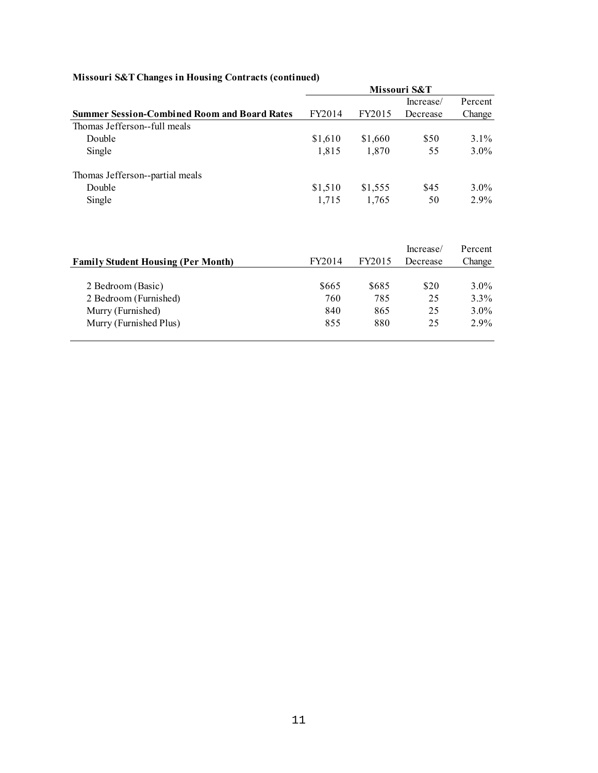|  |  | Missouri S&T Changes in Housing Contracts (continued) |
|--|--|-------------------------------------------------------|
|  |  |                                                       |

|                                                     |         |         | Missouri S&T |         |
|-----------------------------------------------------|---------|---------|--------------|---------|
|                                                     |         |         | Increase/    | Percent |
| <b>Summer Session-Combined Room and Board Rates</b> | FY2014  | FY2015  | Decrease     | Change  |
| Thomas Jefferson--full meals                        |         |         |              |         |
| Double                                              | \$1,610 | \$1,660 | \$50         | $3.1\%$ |
| Single                                              | 1.815   | 1.870   | 55           | $3.0\%$ |
| Thomas Jefferson--partial meals                     |         |         |              |         |
| Double                                              | \$1,510 | \$1,555 | \$45         | $3.0\%$ |
| Single                                              | 1.715   | 1.765   | 50           | $2.9\%$ |

| <b>Family Student Housing (Per Month)</b> | FY2014 | FY2015 | Increase/<br>Decrease | Percent<br>Change |
|-------------------------------------------|--------|--------|-----------------------|-------------------|
|                                           |        |        |                       |                   |
| 2 Bedroom (Basic)                         | \$665  | \$685  | \$20                  | $3.0\%$           |
| 2 Bedroom (Furnished)                     | 760    | 785    | 25                    | $3.3\%$           |
| Murry (Furnished)                         | 840    | 865    | 25                    | $3.0\%$           |
| Murry (Furnished Plus)                    | 855    | 880    | 25                    | $2.9\%$           |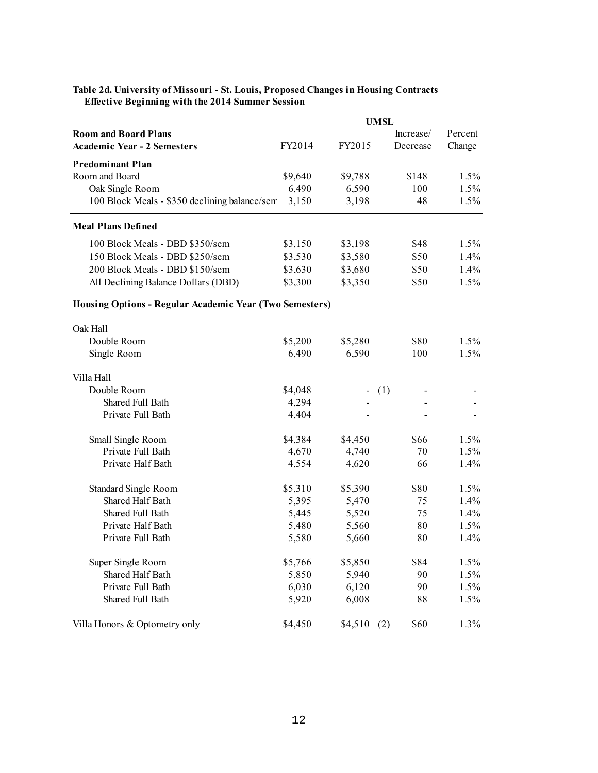|                                                         | <b>UMSL</b> |         |             |         |  |
|---------------------------------------------------------|-------------|---------|-------------|---------|--|
| <b>Room and Board Plans</b>                             |             |         | Increase/   | Percent |  |
| <b>Academic Year - 2 Semesters</b>                      | FY2014      | FY2015  | Decrease    | Change  |  |
| <b>Predominant Plan</b>                                 |             |         |             |         |  |
| Room and Board                                          | \$9,640     | \$9,788 | \$148       | 1.5%    |  |
| Oak Single Room                                         | 6,490       | 6,590   | 100         | 1.5%    |  |
| 100 Block Meals - \$350 declining balance/sem           | 3,150       | 3,198   | 48          | 1.5%    |  |
| <b>Meal Plans Defined</b>                               |             |         |             |         |  |
| 100 Block Meals - DBD \$350/sem                         | \$3,150     | \$3,198 | \$48        | 1.5%    |  |
| 150 Block Meals - DBD \$250/sem                         | \$3,530     | \$3,580 | \$50        | 1.4%    |  |
| 200 Block Meals - DBD \$150/sem                         | \$3,630     | \$3,680 | \$50        | 1.4%    |  |
| All Declining Balance Dollars (DBD)                     | \$3,300     | \$3,350 | \$50        | 1.5%    |  |
| Housing Options - Regular Academic Year (Two Semesters) |             |         |             |         |  |
|                                                         |             |         |             |         |  |
| Oak Hall                                                |             |         |             |         |  |
| Double Room                                             | \$5,200     | \$5,280 | \$80        | 1.5%    |  |
| Single Room                                             | 6,490       | 6,590   | 100         | 1.5%    |  |
| Villa Hall                                              |             |         |             |         |  |
| Double Room                                             | \$4,048     |         | (1)         |         |  |
| Shared Full Bath                                        | 4,294       |         |             |         |  |
| Private Full Bath                                       | 4,404       |         |             |         |  |
| Small Single Room                                       | \$4,384     | \$4,450 | \$66        | 1.5%    |  |
| Private Full Bath                                       | 4,670       | 4,740   | 70          | 1.5%    |  |
| Private Half Bath                                       | 4,554       | 4,620   | 66          | 1.4%    |  |
| Standard Single Room                                    | \$5,310     | \$5,390 | \$80        | 1.5%    |  |
| Shared Half Bath                                        | 5,395       | 5,470   | 75          | 1.4%    |  |
| Shared Full Bath                                        | 5,445       | 5,520   | 75          | 1.4%    |  |
| Private Half Bath                                       | 5,480       | 5,560   | 80          | 1.5%    |  |
| Private Full Bath                                       | 5,580       | 5,660   | 80          | 1.4%    |  |
| Super Single Room                                       | \$5,766     | \$5,850 | \$84        | 1.5%    |  |
| Shared Half Bath                                        | 5,850       | 5,940   | 90          | 1.5%    |  |
| Private Full Bath                                       | 6,030       | 6,120   | 90          | 1.5%    |  |
| Shared Full Bath                                        | 5,920       | 6,008   | 88          | 1.5%    |  |
| Villa Honors & Optometry only                           | \$4,450     | \$4,510 | \$60<br>(2) | 1.3%    |  |

#### **Table 2d. University of Missouri - St. Louis, Proposed Changes in Housing Contracts Effective Beginning with the 2014 Summer Session**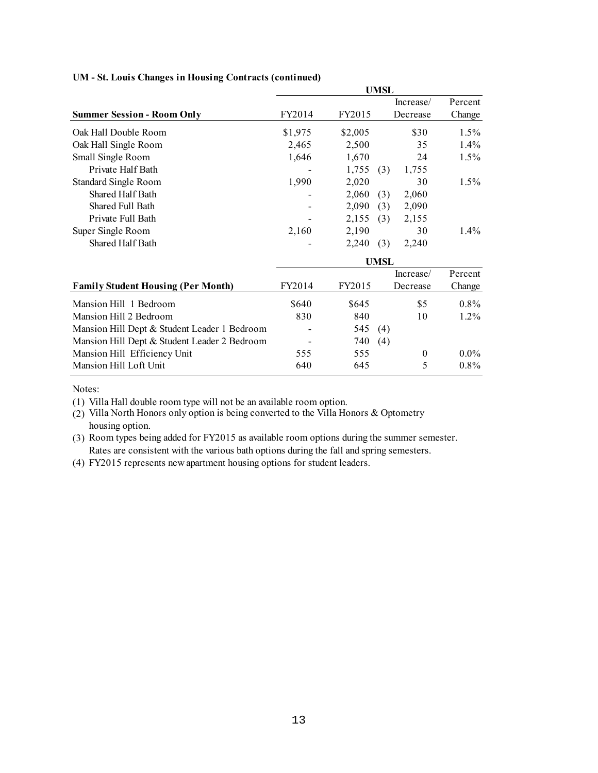|                                              |         |         | <b>UMSL</b> |           |         |
|----------------------------------------------|---------|---------|-------------|-----------|---------|
|                                              |         |         |             | Increase/ | Percent |
| <b>Summer Session - Room Only</b>            | FY2014  | FY2015  |             | Decrease  | Change  |
| Oak Hall Double Room                         | \$1,975 | \$2,005 |             | \$30      | $1.5\%$ |
| Oak Hall Single Room                         | 2,465   | 2,500   |             | 35        | 1.4%    |
| Small Single Room                            | 1,646   | 1,670   |             | 24        | $1.5\%$ |
| Private Half Bath                            |         | 1,755   | (3)         | 1,755     |         |
| Standard Single Room                         | 1,990   | 2,020   |             | 30        | $1.5\%$ |
| Shared Half Bath                             |         | 2,060   | (3)         | 2,060     |         |
| Shared Full Bath                             |         | 2,090   | (3)         | 2,090     |         |
| Private Full Bath                            |         | 2,155   | (3)         | 2,155     |         |
| Super Single Room                            | 2,160   | 2,190   |             | 30        | $1.4\%$ |
| Shared Half Bath                             |         | 2,240   | (3)         | 2,240     |         |
|                                              |         |         | <b>UMSL</b> |           |         |
|                                              |         |         |             | Increase/ | Percent |
| <b>Family Student Housing (Per Month)</b>    | FY2014  | FY2015  |             | Decrease  | Change  |
| Mansion Hill 1 Bedroom                       | \$640   | \$645   |             | \$5       | $0.8\%$ |
| Mansion Hill 2 Bedroom                       | 830     | 840     |             | 10        | $1.2\%$ |
| Mansion Hill Dept & Student Leader 1 Bedroom |         | 545     | (4)         |           |         |
| Mansion Hill Dept & Student Leader 2 Bedroom |         | 740     | (4)         |           |         |
| Mansion Hill Efficiency Unit                 | 555     | 555     |             | $\theta$  | $0.0\%$ |
| Mansion Hill Loft Unit                       | 640     | 645     |             | 5         | $0.8\%$ |

#### **UM - St. Louis Changes in Housing Contracts (continued)**

Notes:

(1) Villa Hall double room type will not be an available room option.

 (2) Villa North Honors only option is being converted to the Villa Honors & Optometry housing option.

 (3) Room types being added for FY2015 as available room options during the summer semester. Rates are consistent with the various bath options during the fall and spring semesters.

(4) FY2015 represents new apartment housing options for student leaders.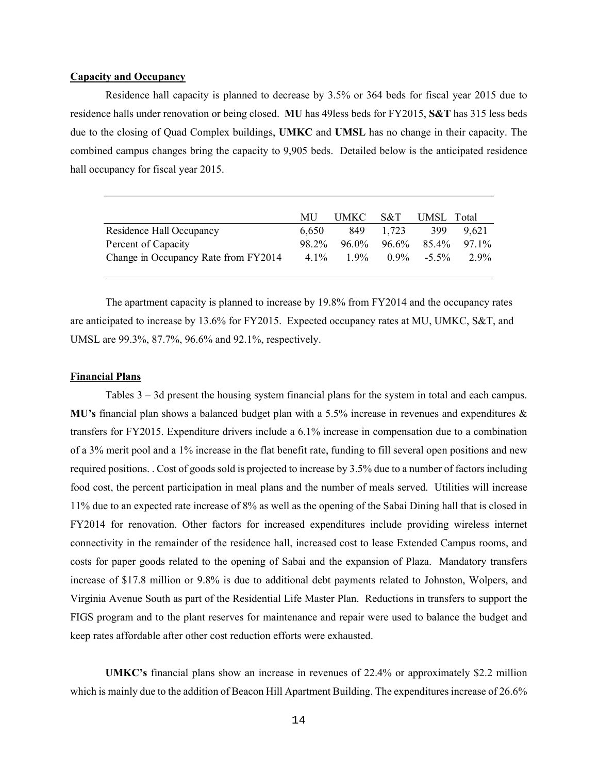### **Capacity and Occupancy**

 Residence hall capacity is planned to decrease by 3.5% or 364 beds for fiscal year 2015 due to residence halls under renovation or being closed. **MU** has 49less beds for FY2015, **S&T** has 315 less beds due to the closing of Quad Complex buildings, **UMKC** and **UMSL** has no change in their capacity. The combined campus changes bring the capacity to 9,905 beds. Detailed below is the anticipated residence hall occupancy for fiscal year 2015.

|                                      | MU      | UMKC S&T |           | UMSL Total        |         |
|--------------------------------------|---------|----------|-----------|-------------------|---------|
| Residence Hall Occupancy             | 6.650   |          | 849 1.723 | 399               | 9.621   |
| Percent of Capacity                  | 98.2%   |          |           | 96.0% 96.6% 85.4% | 97.1%   |
| Change in Occupancy Rate from FY2014 | $4.1\%$ | $1.9\%$  |           | $0.9\% -5.5\%$    | $2.9\%$ |

The apartment capacity is planned to increase by 19.8% from FY2014 and the occupancy rates are anticipated to increase by 13.6% for FY2015. Expected occupancy rates at MU, UMKC, S&T, and UMSL are 99.3%, 87.7%, 96.6% and 92.1%, respectively.

#### **Financial Plans**

 transfers for FY2015. Expenditure drivers include a 6.1% increase in compensation due to a combination of a 3% merit pool and a 1% increase in the flat benefit rate, funding to fill several open positions and new connectivity in the remainder of the residence hall, increased cost to lease Extended Campus rooms, and costs for paper goods related to the opening of Sabai and the expansion of Plaza. Mandatory transfers Tables 3 – 3d present the housing system financial plans for the system in total and each campus. **MU's** financial plan shows a balanced budget plan with a 5.5% increase in revenues and expenditures & required positions. . Cost of goods sold is projected to increase by 3.5% due to a number of factors including food cost, the percent participation in meal plans and the number of meals served. Utilities will increase 11% due to an expected rate increase of 8% as well as the opening of the Sabai Dining hall that is closed in FY2014 for renovation. Other factors for increased expenditures include providing wireless internet increase of \$17.8 million or 9.8% is due to additional debt payments related to Johnston, Wolpers, and Virginia Avenue South as part of the Residential Life Master Plan. Reductions in transfers to support the FIGS program and to the plant reserves for maintenance and repair were used to balance the budget and keep rates affordable after other cost reduction efforts were exhausted.

**UMKC's** financial plans show an increase in revenues of 22.4% or approximately \$2.2 million which is mainly due to the addition of Beacon Hill Apartment Building. The expenditures increase of 26.6%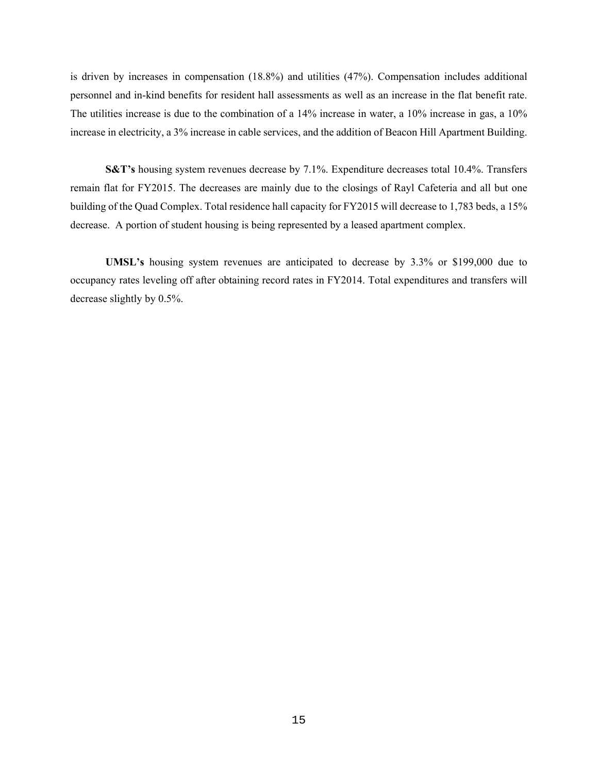personnel and in-kind benefits for resident hall assessments as well as an increase in the flat benefit rate. The utilities increase is due to the combination of a 14% increase in water, a 10% increase in gas, a 10% is driven by increases in compensation (18.8%) and utilities (47%). Compensation includes additional increase in electricity, a 3% increase in cable services, and the addition of Beacon Hill Apartment Building.

 **S&T's** housing system revenues decrease by 7.1%. Expenditure decreases total 10.4%. Transfers remain flat for FY2015. The decreases are mainly due to the closings of Rayl Cafeteria and all but one building of the Quad Complex. Total residence hall capacity for FY2015 will decrease to 1,783 beds, a 15% decrease. A portion of student housing is being represented by a leased apartment complex.

 **UMSL's** housing system revenues are anticipated to decrease by 3.3% or \$199,000 due to occupancy rates leveling off after obtaining record rates in FY2014. Total expenditures and transfers will decrease slightly by 0.5%.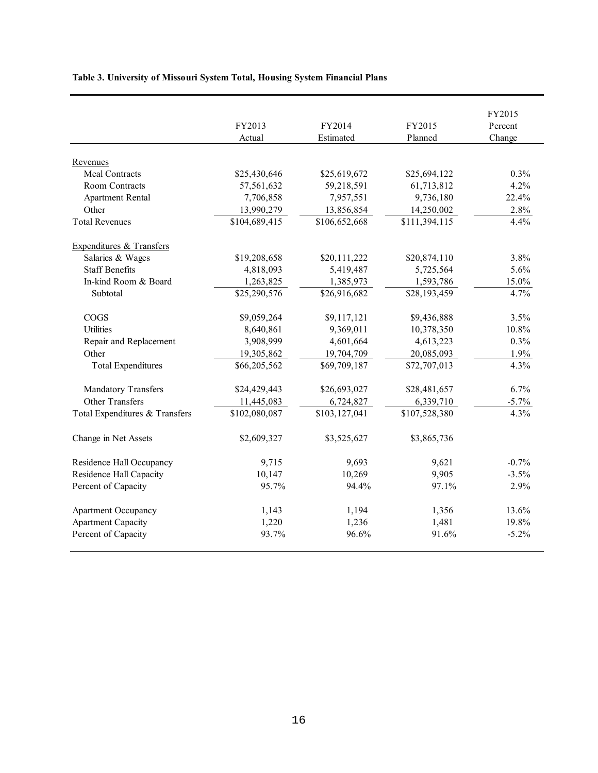## **Table 3. University of Missouri System Total, Housing System Financial Plans**

|                                |               |               |               | FY2015   |
|--------------------------------|---------------|---------------|---------------|----------|
|                                | FY2013        | FY2014        | FY2015        | Percent  |
|                                | Actual        | Estimated     | Planned       | Change   |
| Revenues                       |               |               |               |          |
| <b>Meal Contracts</b>          | \$25,430,646  | \$25,619,672  | \$25,694,122  | 0.3%     |
| Room Contracts                 | 57,561,632    | 59,218,591    | 61,713,812    | 4.2%     |
| <b>Apartment Rental</b>        | 7,706,858     | 7,957,551     | 9,736,180     | 22.4%    |
| Other                          | 13,990,279    | 13,856,854    | 14,250,002    | 2.8%     |
| <b>Total Revenues</b>          | \$104,689,415 | \$106,652,668 | \$111,394,115 | 4.4%     |
| Expenditures & Transfers       |               |               |               |          |
| Salaries & Wages               | \$19,208,658  | \$20,111,222  | \$20,874,110  | 3.8%     |
| <b>Staff Benefits</b>          | 4,818,093     | 5,419,487     | 5,725,564     | 5.6%     |
| In-kind Room & Board           | 1,263,825     | 1,385,973     | 1,593,786     | 15.0%    |
| Subtotal                       | \$25,290,576  | \$26,916,682  | \$28,193,459  | 4.7%     |
| COGS                           | \$9,059,264   | \$9,117,121   | \$9,436,888   | 3.5%     |
| Utilities                      | 8,640,861     | 9,369,011     | 10,378,350    | 10.8%    |
| Repair and Replacement         | 3,908,999     | 4,601,664     | 4,613,223     | 0.3%     |
| Other                          | 19,305,862    | 19,704,709    | 20,085,093    | 1.9%     |
| <b>Total Expenditures</b>      | \$66,205,562  | \$69,709,187  | \$72,707,013  | 4.3%     |
| <b>Mandatory Transfers</b>     | \$24,429,443  | \$26,693,027  | \$28,481,657  | 6.7%     |
| <b>Other Transfers</b>         | 11,445,083    | 6,724,827     | 6,339,710     | $-5.7\%$ |
| Total Expenditures & Transfers | \$102,080,087 | \$103,127,041 | \$107,528,380 | 4.3%     |
| Change in Net Assets           | \$2,609,327   | \$3,525,627   | \$3,865,736   |          |
| Residence Hall Occupancy       | 9,715         | 9,693         | 9,621         | $-0.7%$  |
| Residence Hall Capacity        | 10,147        | 10,269        | 9,905         | $-3.5%$  |
| Percent of Capacity            | 95.7%         | 94.4%         | 97.1%         | 2.9%     |
| <b>Apartment Occupancy</b>     | 1,143         | 1,194         | 1,356         | 13.6%    |
| <b>Apartment Capacity</b>      | 1,220         | 1,236         | 1,481         | 19.8%    |
| Percent of Capacity            | 93.7%         | 96.6%         | 91.6%         | $-5.2\%$ |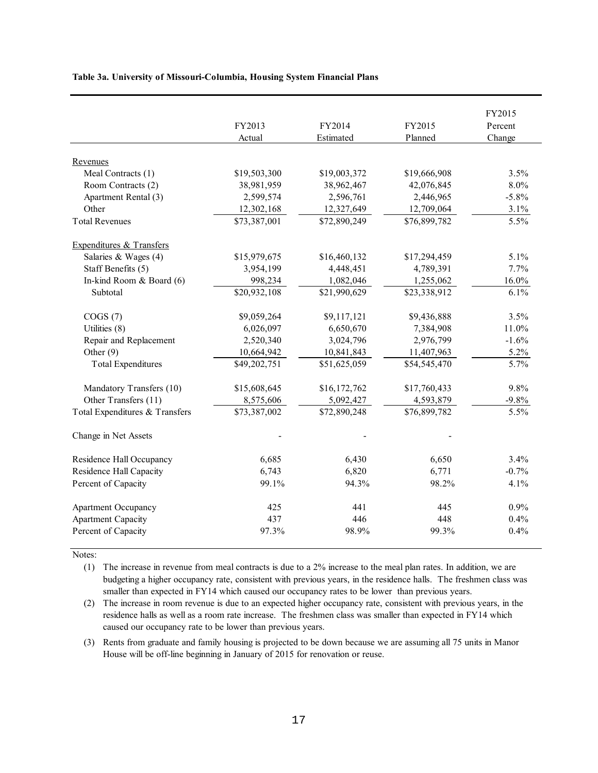| Table 3a. University of Missouri-Columbia, Housing System Financial Plans |  |
|---------------------------------------------------------------------------|--|
|---------------------------------------------------------------------------|--|

|                                | FY2013       | FY2014       | FY2015       | FY2015<br>Percent |
|--------------------------------|--------------|--------------|--------------|-------------------|
|                                | Actual       | Estimated    | Planned      | Change            |
| Revenues                       |              |              |              |                   |
| Meal Contracts (1)             | \$19,503,300 | \$19,003,372 | \$19,666,908 | 3.5%              |
| Room Contracts (2)             | 38,981,959   | 38,962,467   | 42,076,845   | $8.0\%$           |
| Apartment Rental (3)           | 2,599,574    | 2,596,761    | 2,446,965    | $-5.8%$           |
| Other                          | 12,302,168   | 12,327,649   | 12,709,064   | 3.1%              |
| <b>Total Revenues</b>          | \$73,387,001 | \$72,890,249 | \$76,899,782 | 5.5%              |
| Expenditures & Transfers       |              |              |              |                   |
| Salaries & Wages (4)           | \$15,979,675 | \$16,460,132 | \$17,294,459 | 5.1%              |
| Staff Benefits (5)             | 3,954,199    | 4,448,451    | 4,789,391    | 7.7%              |
| In-kind Room & Board (6)       | 998,234      | 1,082,046    | 1,255,062    | 16.0%             |
| Subtotal                       | \$20,932,108 | \$21,990,629 | \$23,338,912 | 6.1%              |
| COGS(7)                        | \$9,059,264  | \$9,117,121  | \$9,436,888  | 3.5%              |
| Utilities (8)                  | 6,026,097    | 6,650,670    | 7,384,908    | 11.0%             |
| Repair and Replacement         | 2,520,340    | 3,024,796    | 2,976,799    | $-1.6%$           |
| Other $(9)$                    | 10,664,942   | 10,841,843   | 11,407,963   | 5.2%              |
| <b>Total Expenditures</b>      | \$49,202,751 | \$51,625,059 | \$54,545,470 | 5.7%              |
| Mandatory Transfers (10)       | \$15,608,645 | \$16,172,762 | \$17,760,433 | 9.8%              |
| Other Transfers (11)           | 8,575,606    | 5,092,427    | 4,593,879    | $-9.8%$           |
| Total Expenditures & Transfers | \$73,387,002 | \$72,890,248 | \$76,899,782 | 5.5%              |
| Change in Net Assets           |              |              |              |                   |
| Residence Hall Occupancy       | 6,685        | 6,430        | 6,650        | 3.4%              |
| Residence Hall Capacity        | 6,743        | 6,820        | 6,771        | $-0.7%$           |
| Percent of Capacity            | 99.1%        | 94.3%        | 98.2%        | 4.1%              |
| <b>Apartment Occupancy</b>     | 425          | 441          | 445          | 0.9%              |
| <b>Apartment Capacity</b>      | 437          | 446          | 448          | 0.4%              |
| Percent of Capacity            | 97.3%        | 98.9%        | 99.3%        | 0.4%              |

Notes:

 (1) The increase in revenue from meal contracts is due to a 2% increase to the meal plan rates. In addition, we are budgeting a higher occupancy rate, consistent with previous years, in the residence halls. The freshmen class was smaller than expected in FY14 which caused our occupancy rates to be lower than previous years.

 (2) The increase in room revenue is due to an expected higher occupancy rate, consistent with previous years, in the residence halls as well as a room rate increase. The freshmen class was smaller than expected in FY14 which caused our occupancy rate to be lower than previous years.

 (3) Rents from graduate and family housing is projected to be down because we are assuming all 75 units in Manor House will be off-line beginning in January of 2015 for renovation or reuse.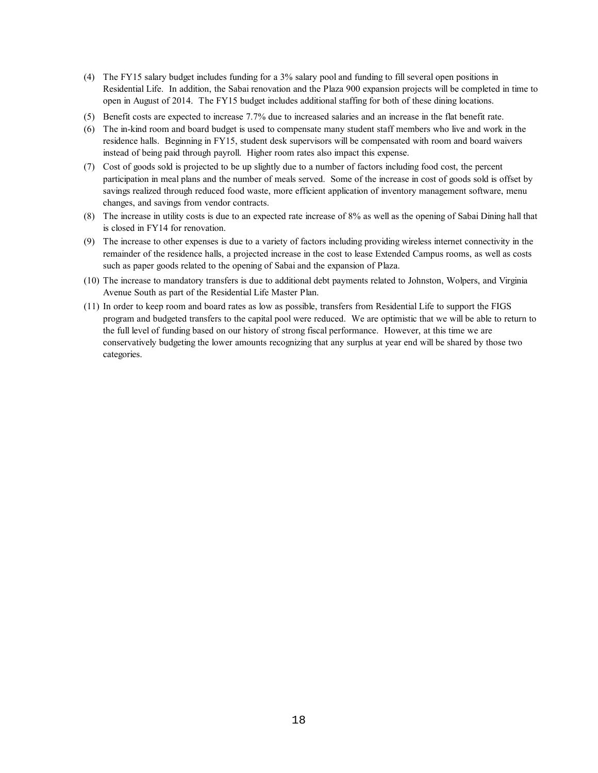- (4) The FY15 salary budget includes funding for a 3% salary pool and funding to fill several open positions in Residential Life. In addition, the Sabai renovation and the Plaza 900 expansion projects will be completed in time to open in August of 2014. The FY15 budget includes additional staffing for both of these dining locations.
- (5) Benefit costs are expected to increase 7.7% due to increased salaries and an increase in the flat benefit rate.
- residence halls. Beginning in FY15, student desk supervisors will be compensated with room and board waivers instead of being paid through payroll. Higher room rates also impact this expense. (6) The in-kind room and board budget is used to compensate many student staff members who live and work in the
- (7) Cost of goods sold is projected to be up slightly due to a number of factors including food cost, the percent participation in meal plans and the number of meals served. Some of the increase in cost of goods sold is offset by savings realized through reduced food waste, more efficient application of inventory management software, menu changes, and savings from vendor contracts.
- (8) The increase in utility costs is due to an expected rate increase of 8% as well as the opening of Sabai Dining hall that is closed in FY14 for renovation.
- (9) The increase to other expenses is due to a variety of factors including providing wireless internet connectivity in the remainder of the residence halls, a projected increase in the cost to lease Extended Campus rooms, as well as costs such as paper goods related to the opening of Sabai and the expansion of Plaza.
- (10) The increase to mandatory transfers is due to additional debt payments related to Johnston, Wolpers, and Virginia Avenue South as part of the Residential Life Master Plan.
- program and budgeted transfers to the capital pool were reduced. We are optimistic that we will be able to return to the full level of funding based on our history of strong fiscal performance. However, at this time we are conservatively budgeting the lower amounts recognizing that any surplus at year end will be shared by those two (11) In order to keep room and board rates as low as possible, transfers from Residential Life to support the FIGS categories.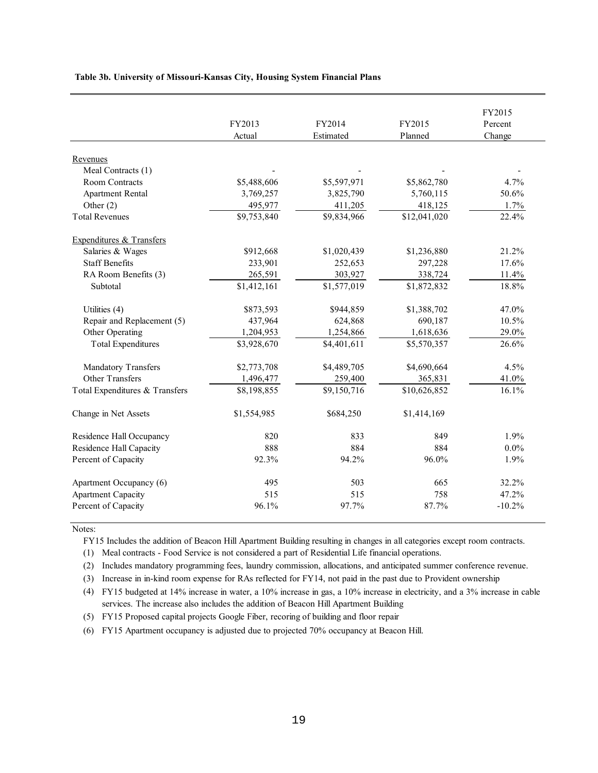| Revenues<br>Meal Contracts (1)<br>Room Contracts<br>\$5,488,606<br>\$5,597,971<br>\$5,862,780<br>4.7%<br><b>Apartment Rental</b><br>3,769,257<br>5,760,115<br>50.6%<br>3,825,790<br>Other $(2)$<br>418,125<br>1.7%<br>495,977<br>411,205<br><b>Total Revenues</b><br>\$9,753,840<br>\$9,834,966<br>\$12,041,020<br>22.4%<br>Expenditures & Transfers<br>Salaries & Wages<br>\$912,668<br>\$1,020,439<br>\$1,236,880<br>21.2%<br><b>Staff Benefits</b><br>233,901<br>252,653<br>297,228<br>17.6%<br>RA Room Benefits (3)<br>265,591<br>303,927<br>338,724<br>11.4%<br>\$1,412,161<br>\$1,577,019<br>18.8%<br>\$1,872,832<br>Subtotal<br>Utilities (4)<br>\$873,593<br>\$944,859<br>\$1,388,702<br>47.0%<br>Repair and Replacement (5)<br>437,964<br>690,187<br>10.5%<br>624,868<br>Other Operating<br>1,204,953<br>1,254,866<br>1,618,636<br>29.0%<br><b>Total Expenditures</b><br>\$4,401,611<br>\$5,570,357<br>26.6%<br>\$3,928,670<br>Mandatory Transfers<br>\$2,773,708<br>\$4,489,705<br>\$4,690,664<br>4.5%<br><b>Other Transfers</b><br>41.0%<br>1,496,477<br>259,400<br>365,831<br>Total Expenditures & Transfers<br>\$8,198,855<br>\$9,150,716<br>16.1%<br>\$10,626,852<br>Change in Net Assets<br>\$1,554,985<br>\$684,250<br>\$1,414,169<br>Residence Hall Occupancy<br>820<br>833<br>1.9%<br>849<br>884<br>Residence Hall Capacity<br>888<br>884<br>$0.0\%$<br>Percent of Capacity<br>92.3%<br>94.2%<br>96.0%<br>1.9%<br>503<br>Apartment Occupancy (6)<br>495<br>665<br>32.2%<br><b>Apartment Capacity</b><br>515<br>515<br>758<br>47.2% |                     | FY2013<br>Actual | FY2014<br>Estimated | FY2015<br>Planned | FY2015<br>Percent<br>Change |
|------------------------------------------------------------------------------------------------------------------------------------------------------------------------------------------------------------------------------------------------------------------------------------------------------------------------------------------------------------------------------------------------------------------------------------------------------------------------------------------------------------------------------------------------------------------------------------------------------------------------------------------------------------------------------------------------------------------------------------------------------------------------------------------------------------------------------------------------------------------------------------------------------------------------------------------------------------------------------------------------------------------------------------------------------------------------------------------------------------------------------------------------------------------------------------------------------------------------------------------------------------------------------------------------------------------------------------------------------------------------------------------------------------------------------------------------------------------------------------------------------------------------------------------------------|---------------------|------------------|---------------------|-------------------|-----------------------------|
|                                                                                                                                                                                                                                                                                                                                                                                                                                                                                                                                                                                                                                                                                                                                                                                                                                                                                                                                                                                                                                                                                                                                                                                                                                                                                                                                                                                                                                                                                                                                                      |                     |                  |                     |                   |                             |
|                                                                                                                                                                                                                                                                                                                                                                                                                                                                                                                                                                                                                                                                                                                                                                                                                                                                                                                                                                                                                                                                                                                                                                                                                                                                                                                                                                                                                                                                                                                                                      |                     |                  |                     |                   |                             |
|                                                                                                                                                                                                                                                                                                                                                                                                                                                                                                                                                                                                                                                                                                                                                                                                                                                                                                                                                                                                                                                                                                                                                                                                                                                                                                                                                                                                                                                                                                                                                      |                     |                  |                     |                   |                             |
|                                                                                                                                                                                                                                                                                                                                                                                                                                                                                                                                                                                                                                                                                                                                                                                                                                                                                                                                                                                                                                                                                                                                                                                                                                                                                                                                                                                                                                                                                                                                                      |                     |                  |                     |                   |                             |
|                                                                                                                                                                                                                                                                                                                                                                                                                                                                                                                                                                                                                                                                                                                                                                                                                                                                                                                                                                                                                                                                                                                                                                                                                                                                                                                                                                                                                                                                                                                                                      |                     |                  |                     |                   |                             |
|                                                                                                                                                                                                                                                                                                                                                                                                                                                                                                                                                                                                                                                                                                                                                                                                                                                                                                                                                                                                                                                                                                                                                                                                                                                                                                                                                                                                                                                                                                                                                      |                     |                  |                     |                   |                             |
|                                                                                                                                                                                                                                                                                                                                                                                                                                                                                                                                                                                                                                                                                                                                                                                                                                                                                                                                                                                                                                                                                                                                                                                                                                                                                                                                                                                                                                                                                                                                                      |                     |                  |                     |                   |                             |
|                                                                                                                                                                                                                                                                                                                                                                                                                                                                                                                                                                                                                                                                                                                                                                                                                                                                                                                                                                                                                                                                                                                                                                                                                                                                                                                                                                                                                                                                                                                                                      |                     |                  |                     |                   |                             |
|                                                                                                                                                                                                                                                                                                                                                                                                                                                                                                                                                                                                                                                                                                                                                                                                                                                                                                                                                                                                                                                                                                                                                                                                                                                                                                                                                                                                                                                                                                                                                      |                     |                  |                     |                   |                             |
|                                                                                                                                                                                                                                                                                                                                                                                                                                                                                                                                                                                                                                                                                                                                                                                                                                                                                                                                                                                                                                                                                                                                                                                                                                                                                                                                                                                                                                                                                                                                                      |                     |                  |                     |                   |                             |
|                                                                                                                                                                                                                                                                                                                                                                                                                                                                                                                                                                                                                                                                                                                                                                                                                                                                                                                                                                                                                                                                                                                                                                                                                                                                                                                                                                                                                                                                                                                                                      |                     |                  |                     |                   |                             |
|                                                                                                                                                                                                                                                                                                                                                                                                                                                                                                                                                                                                                                                                                                                                                                                                                                                                                                                                                                                                                                                                                                                                                                                                                                                                                                                                                                                                                                                                                                                                                      |                     |                  |                     |                   |                             |
|                                                                                                                                                                                                                                                                                                                                                                                                                                                                                                                                                                                                                                                                                                                                                                                                                                                                                                                                                                                                                                                                                                                                                                                                                                                                                                                                                                                                                                                                                                                                                      |                     |                  |                     |                   |                             |
|                                                                                                                                                                                                                                                                                                                                                                                                                                                                                                                                                                                                                                                                                                                                                                                                                                                                                                                                                                                                                                                                                                                                                                                                                                                                                                                                                                                                                                                                                                                                                      |                     |                  |                     |                   |                             |
|                                                                                                                                                                                                                                                                                                                                                                                                                                                                                                                                                                                                                                                                                                                                                                                                                                                                                                                                                                                                                                                                                                                                                                                                                                                                                                                                                                                                                                                                                                                                                      |                     |                  |                     |                   |                             |
|                                                                                                                                                                                                                                                                                                                                                                                                                                                                                                                                                                                                                                                                                                                                                                                                                                                                                                                                                                                                                                                                                                                                                                                                                                                                                                                                                                                                                                                                                                                                                      |                     |                  |                     |                   |                             |
|                                                                                                                                                                                                                                                                                                                                                                                                                                                                                                                                                                                                                                                                                                                                                                                                                                                                                                                                                                                                                                                                                                                                                                                                                                                                                                                                                                                                                                                                                                                                                      |                     |                  |                     |                   |                             |
|                                                                                                                                                                                                                                                                                                                                                                                                                                                                                                                                                                                                                                                                                                                                                                                                                                                                                                                                                                                                                                                                                                                                                                                                                                                                                                                                                                                                                                                                                                                                                      |                     |                  |                     |                   |                             |
|                                                                                                                                                                                                                                                                                                                                                                                                                                                                                                                                                                                                                                                                                                                                                                                                                                                                                                                                                                                                                                                                                                                                                                                                                                                                                                                                                                                                                                                                                                                                                      |                     |                  |                     |                   |                             |
|                                                                                                                                                                                                                                                                                                                                                                                                                                                                                                                                                                                                                                                                                                                                                                                                                                                                                                                                                                                                                                                                                                                                                                                                                                                                                                                                                                                                                                                                                                                                                      |                     |                  |                     |                   |                             |
|                                                                                                                                                                                                                                                                                                                                                                                                                                                                                                                                                                                                                                                                                                                                                                                                                                                                                                                                                                                                                                                                                                                                                                                                                                                                                                                                                                                                                                                                                                                                                      |                     |                  |                     |                   |                             |
|                                                                                                                                                                                                                                                                                                                                                                                                                                                                                                                                                                                                                                                                                                                                                                                                                                                                                                                                                                                                                                                                                                                                                                                                                                                                                                                                                                                                                                                                                                                                                      |                     |                  |                     |                   |                             |
|                                                                                                                                                                                                                                                                                                                                                                                                                                                                                                                                                                                                                                                                                                                                                                                                                                                                                                                                                                                                                                                                                                                                                                                                                                                                                                                                                                                                                                                                                                                                                      |                     |                  |                     |                   |                             |
|                                                                                                                                                                                                                                                                                                                                                                                                                                                                                                                                                                                                                                                                                                                                                                                                                                                                                                                                                                                                                                                                                                                                                                                                                                                                                                                                                                                                                                                                                                                                                      |                     |                  |                     |                   |                             |
|                                                                                                                                                                                                                                                                                                                                                                                                                                                                                                                                                                                                                                                                                                                                                                                                                                                                                                                                                                                                                                                                                                                                                                                                                                                                                                                                                                                                                                                                                                                                                      |                     |                  |                     |                   |                             |
|                                                                                                                                                                                                                                                                                                                                                                                                                                                                                                                                                                                                                                                                                                                                                                                                                                                                                                                                                                                                                                                                                                                                                                                                                                                                                                                                                                                                                                                                                                                                                      |                     |                  |                     |                   |                             |
|                                                                                                                                                                                                                                                                                                                                                                                                                                                                                                                                                                                                                                                                                                                                                                                                                                                                                                                                                                                                                                                                                                                                                                                                                                                                                                                                                                                                                                                                                                                                                      | Percent of Capacity | 96.1%            | 97.7%               | 87.7%             | $-10.2%$                    |

 **Table 3b. University of Missouri-Kansas City, Housing System Financial Plans** 

Notes:

FY15 Includes the addition of Beacon Hill Apartment Building resulting in changes in all categories except room contracts.

(1) Meal contracts - Food Service is not considered a part of Residential Life financial operations.

(2) Includes mandatory programming fees, laundry commission, allocations, and anticipated summer conference revenue.

(3) Increase in in-kind room expense for RAs reflected for FY14, not paid in the past due to Provident ownership

 (4) FY15 budgeted at 14% increase in water, a 10% increase in gas, a 10% increase in electricity, and a 3% increase in cable services. The increase also includes the addition of Beacon Hill Apartment Building

(5) FY15 Proposed capital projects Google Fiber, recoring of building and floor repair

(6) FY15 Apartment occupancy is adjusted due to projected 70% occupancy at Beacon Hill.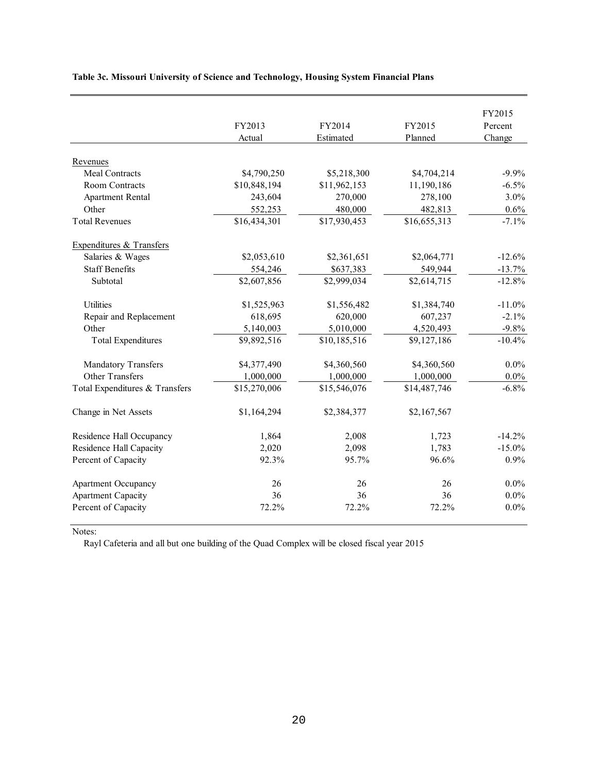|                                | FY2013       | FY2014       | FY2015       | FY2015<br>Percent |
|--------------------------------|--------------|--------------|--------------|-------------------|
|                                | Actual       | Estimated    | Planned      | Change            |
| Revenues                       |              |              |              |                   |
| <b>Meal Contracts</b>          | \$4,790,250  | \$5,218,300  | \$4,704,214  | $-9.9\%$          |
| Room Contracts                 | \$10,848,194 | \$11,962,153 | 11,190,186   | $-6.5%$           |
| <b>Apartment Rental</b>        | 243,604      | 270,000      | 278,100      | 3.0%              |
| Other                          | 552,253      | 480,000      | 482,813      | 0.6%              |
| <b>Total Revenues</b>          | \$16,434,301 | \$17,930,453 | \$16,655,313 | $-7.1%$           |
| Expenditures & Transfers       |              |              |              |                   |
| Salaries & Wages               | \$2,053,610  | \$2,361,651  | \$2,064,771  | $-12.6%$          |
| <b>Staff Benefits</b>          | 554,246      | \$637,383    | 549,944      | $-13.7%$          |
| Subtotal                       | \$2,607,856  | \$2,999,034  | \$2,614,715  | $-12.8%$          |
| Utilities                      | \$1,525,963  | \$1,556,482  | \$1,384,740  | $-11.0%$          |
| Repair and Replacement         | 618,695      | 620,000      | 607,237      | $-2.1%$           |
| Other                          | 5,140,003    | 5,010,000    | 4,520,493    | $-9.8%$           |
| <b>Total Expenditures</b>      | \$9,892,516  | \$10,185,516 | \$9,127,186  | $-10.4%$          |
| <b>Mandatory Transfers</b>     | \$4,377,490  | \$4,360,560  | \$4,360,560  | $0.0\%$           |
| Other Transfers                | 1,000,000    | 1,000,000    | 1,000,000    | $0.0\%$           |
| Total Expenditures & Transfers | \$15,270,006 | \$15,546,076 | \$14,487,746 | $-6.8%$           |
| Change in Net Assets           | \$1,164,294  | \$2,384,377  | \$2,167,567  |                   |
| Residence Hall Occupancy       | 1,864        | 2,008        | 1,723        | $-14.2%$          |
| Residence Hall Capacity        | 2,020        | 2,098        | 1,783        | $-15.0%$          |
| Percent of Capacity            | 92.3%        | 95.7%        | 96.6%        | 0.9%              |
| <b>Apartment Occupancy</b>     | 26           | 26           | 26           | $0.0\%$           |
| <b>Apartment Capacity</b>      | 36           | 36           | 36           | $0.0\%$           |
| Percent of Capacity            | 72.2%        | 72.2%        | 72.2%        | 0.0%              |

### **Table 3c. Missouri University of Science and Technology, Housing System Financial Plans**

Notes:

Rayl Cafeteria and all but one building of the Quad Complex will be closed fiscal year 2015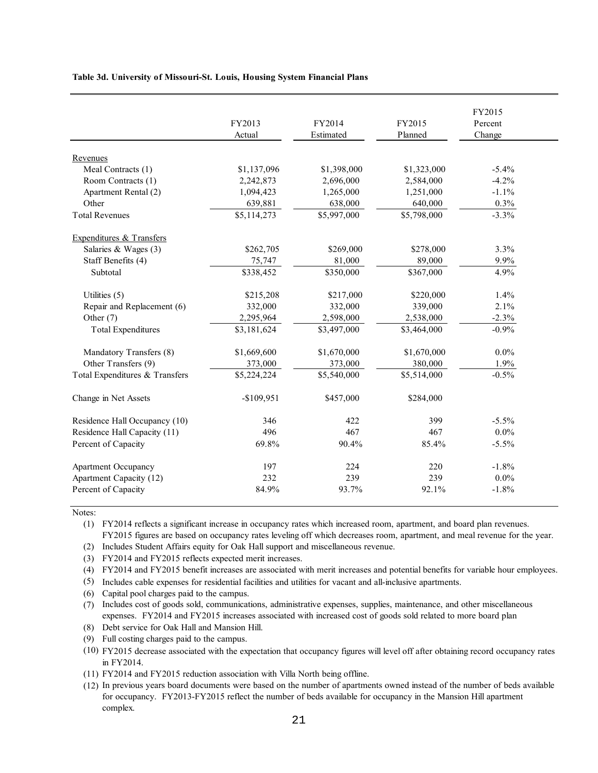**Table 3d. University of Missouri-St. Louis, Housing System Financial Plans** 

|                                | FY2013<br>Actual | FY2014<br>Estimated | FY2015<br>Planned | FY2015<br>Percent<br>Change |
|--------------------------------|------------------|---------------------|-------------------|-----------------------------|
| Revenues                       |                  |                     |                   |                             |
| Meal Contracts (1)             | \$1,137,096      | \$1,398,000         | \$1,323,000       | $-5.4%$                     |
| Room Contracts (1)             | 2,242,873        | 2,696,000           | 2,584,000         | $-4.2%$                     |
| Apartment Rental (2)           | 1,094,423        | 1,265,000           | 1,251,000         | $-1.1%$                     |
| Other                          | 639,881          | 638,000             | 640,000           | 0.3%                        |
| <b>Total Revenues</b>          | \$5,114,273      | \$5,997,000         | \$5,798,000       | $-3.3%$                     |
| Expenditures & Transfers       |                  |                     |                   |                             |
| Salaries & Wages (3)           | \$262,705        | \$269,000           | \$278,000         | 3.3%                        |
| Staff Benefits (4)             | 75,747           | 81,000              | 89,000            | 9.9%                        |
| Subtotal                       | \$338,452        | \$350,000           | \$367,000         | 4.9%                        |
| Utilities (5)                  | \$215,208        | \$217,000           | \$220,000         | 1.4%                        |
| Repair and Replacement (6)     | 332,000          | 332,000             | 339,000           | 2.1%                        |
| Other (7)                      | 2,295,964        | 2,598,000           | 2,538,000         | $-2.3%$                     |
| <b>Total Expenditures</b>      | \$3,181,624      | \$3,497,000         | \$3,464,000       | $-0.9%$                     |
| Mandatory Transfers (8)        | \$1,669,600      | \$1,670,000         | \$1,670,000       | $0.0\%$                     |
| Other Transfers (9)            | 373,000          | 373,000             | 380,000           | 1.9%                        |
| Total Expenditures & Transfers | \$5,224,224      | \$5,540,000         | \$5,514,000       | $-0.5%$                     |
| Change in Net Assets           | $-$109,951$      | \$457,000           | \$284,000         |                             |
| Residence Hall Occupancy (10)  | 346              | 422                 | 399               | $-5.5%$                     |
| Residence Hall Capacity (11)   | 496              | 467                 | 467               | $0.0\%$                     |
| Percent of Capacity            | 69.8%            | 90.4%               | 85.4%             | $-5.5%$                     |
| Apartment Occupancy            | 197              | 224                 | 220               | $-1.8%$                     |
| Apartment Capacity (12)        | 232              | 239                 | 239               | $0.0\%$                     |
| Percent of Capacity            | 84.9%            | 93.7%               | 92.1%             | $-1.8%$                     |

Notes:

(1) FY2014 reflects a significant increase in occupancy rates which increased room, apartment, and board plan revenues. FY2015 figures are based on occupancy rates leveling off which decreases room, apartment, and meal revenue for the year.

- (2) Includes Student Affairs equity for Oak Hall support and miscellaneous revenue.
- (3) FY2014 and FY2015 reflects expected merit increases.

(4) FY2014 and FY2015 benefit increases are associated with merit increases and potential benefits for variable hour employees.

(5) Includes cable expenses for residential facilities and utilities for vacant and all-inclusive apartments.

- (6) Capital pool charges paid to the campus.
- (7) Includes cost of goods sold, communications, administrative expenses, supplies, maintenance, and other miscellaneous expenses. FY2014 and FY2015 increases associated with increased cost of goods sold related to more board plan
- (8) Debt service for Oak Hall and Mansion Hill.
- (9) Full costing charges paid to the campus.

 (10) FY2015 decrease associated with the expectation that occupancy figures will level off after obtaining record occupancy rates in FY2014.

(11) FY2014 and FY2015 reduction association with Villa North being offline.

 (12) In previous years board documents were based on the number of apartments owned instead of the number of beds available for occupancy. FY2013-FY2015 reflect the number of beds available for occupancy in the Mansion Hill apartment complex.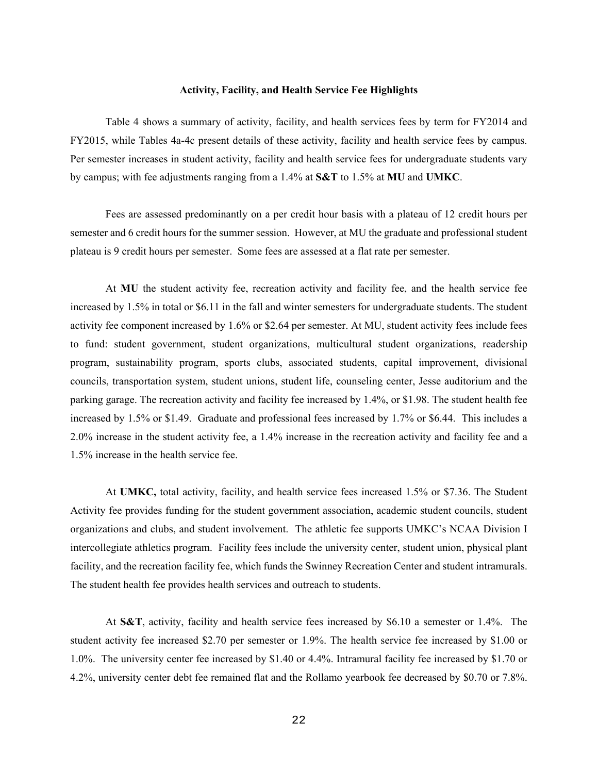#### **Activity, Facility, and Health Service Fee Highlights**

<span id="page-23-0"></span> Table 4 shows a summary of activity, facility, and health services fees by term for FY2014 and FY2015, while Tables 4a-4c present details of these activity, facility and health service fees by campus. Per semester increases in student activity, facility and health service fees for undergraduate students vary by campus; with fee adjustments ranging from a 1.4% at **S&T** to 1.5% at **MU** and **UMKC**.

 Fees are assessed predominantly on a per credit hour basis with a plateau of 12 credit hours per semester and 6 credit hours for the summer session. However, at MU the graduate and professional student plateau is 9 credit hours per semester. Some fees are assessed at a flat rate per semester.

 At **MU** the student activity fee, recreation activity and facility fee, and the health service fee councils, transportation system, student unions, student life, counseling center, Jesse auditorium and the increased by 1.5% in total or \$6.11 in the fall and winter semesters for undergraduate students. The student activity fee component increased by 1.6% or \$2.64 per semester. At MU, student activity fees include fees to fund: student government, student organizations, multicultural student organizations, readership program, sustainability program, sports clubs, associated students, capital improvement, divisional parking garage. The recreation activity and facility fee increased by 1.4%, or \$1.98. The student health fee increased by 1.5% or \$1.49. Graduate and professional fees increased by 1.7% or \$6.44. This includes a 2.0% increase in the student activity fee, a 1.4% increase in the recreation activity and facility fee and a 1.5% increase in the health service fee.

 At **UMKC,** total activity, facility, and health service fees increased 1.5% or \$7.36. The Student facility, and the recreation facility fee, which funds the Swinney Recreation Center and student intramurals. The student health fee provides health services and outreach to students. Activity fee provides funding for the student government association, academic student councils, student organizations and clubs, and student involvement. The athletic fee supports UMKC's NCAA Division I intercollegiate athletics program. Facility fees include the university center, student union, physical plant

 At **S&T**, activity, facility and health service fees increased by \$6.10 a semester or 1.4%. The student activity fee increased \$2.70 per semester or 1.9%. The health service fee increased by \$1.00 or 1.0%. The university center fee increased by \$1.40 or 4.4%. Intramural facility fee increased by \$1.70 or 4.2%, university center debt fee remained flat and the Rollamo yearbook fee decreased by \$0.70 or 7.8%.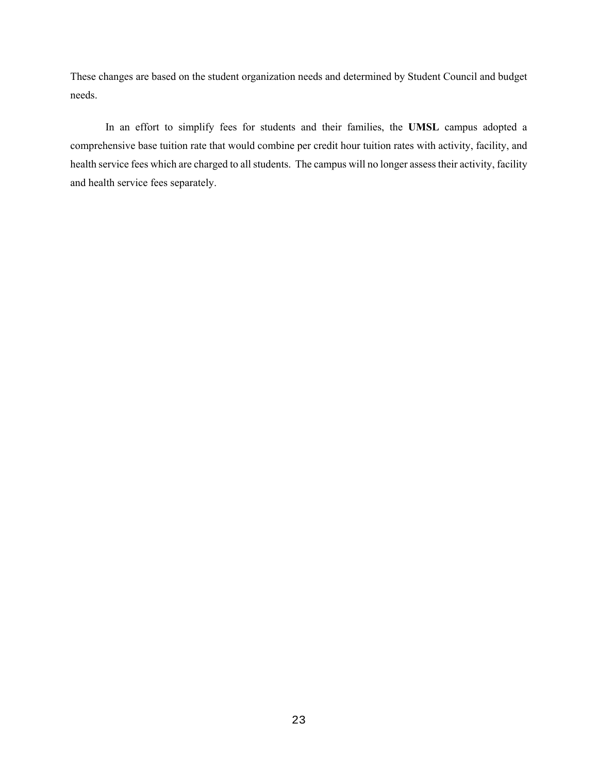These changes are based on the student organization needs and determined by Student Council and budget needs.

In an effort to simplify fees for students and their families, the **UMSL** campus adopted a comprehensive base tuition rate that would combine per credit hour tuition rates with activity, facility, and health service fees which are charged to all students. The campus will no longer assess their activity, facility and health service fees separately.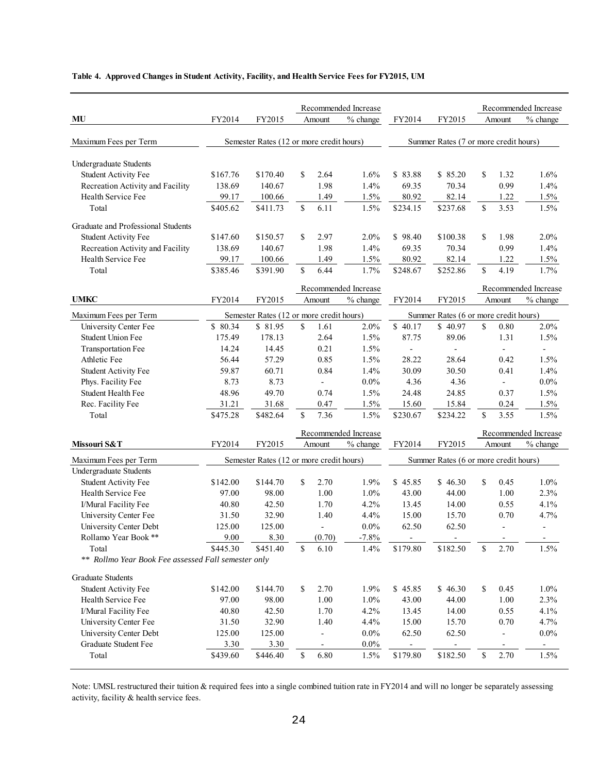#### **Table 4. Approved Changes in Student Activity, Facility, and Health Service Fees for FY2015, UM**

|                                                     |          |                                          |               |                          | Recommended Increase |                |                                       |               |                          | Recommended Increase     |
|-----------------------------------------------------|----------|------------------------------------------|---------------|--------------------------|----------------------|----------------|---------------------------------------|---------------|--------------------------|--------------------------|
| MU                                                  | FY2014   | FY2015                                   |               | Amount                   | % change             | FY2014         | FY2015                                |               | Amount                   | % change                 |
|                                                     |          |                                          |               |                          |                      |                |                                       |               |                          |                          |
| Maximum Fees per Term                               |          | Semester Rates (12 or more credit hours) |               |                          |                      |                | Summer Rates (7 or more credit hours) |               |                          |                          |
| Undergraduate Students                              |          |                                          |               |                          |                      |                |                                       |               |                          |                          |
| <b>Student Activity Fee</b>                         | \$167.76 | \$170.40                                 | \$            | 2.64                     | 1.6%                 | \$83.88        | \$85.20                               | <sup>\$</sup> | 1.32                     | 1.6%                     |
| Recreation Activity and Facility                    | 138.69   | 140.67                                   |               | 1.98                     | 1.4%                 | 69.35          | 70.34                                 |               | 0.99                     | 1.4%                     |
| Health Service Fee                                  | 99.17    | 100.66                                   |               | 1.49                     | 1.5%                 | 80.92          | 82.14                                 |               | 1.22                     | 1.5%                     |
| Total                                               | \$405.62 | \$411.73                                 | \$.           | 6.11                     | 1.5%                 | \$234.15       | \$237.68                              | \$            | 3.53                     | 1.5%                     |
| Graduate and Professional Students                  |          |                                          |               |                          |                      |                |                                       |               |                          |                          |
| <b>Student Activity Fee</b>                         | \$147.60 | \$150.57                                 | S             | 2.97                     | 2.0%                 | \$98.40        | \$100.38                              | <sup>\$</sup> | 1.98                     | 2.0%                     |
| Recreation Activity and Facility                    | 138.69   | 140.67                                   |               | 1.98                     | 1.4%                 | 69.35          | 70.34                                 |               | 0.99                     | 1.4%                     |
| Health Service Fee                                  | 99.17    | 100.66                                   |               | 1.49                     | 1.5%                 | 80.92          | 82.14                                 |               | 1.22                     | 1.5%                     |
| Total                                               | \$385.46 | \$391.90                                 | \$            | 6.44                     | 1.7%                 | \$248.67       | \$252.86                              | \$            | 4.19                     | 1.7%                     |
|                                                     |          |                                          |               |                          | Recommended Increase |                |                                       |               |                          | Recommended Increase     |
| <b>UMKC</b>                                         | FY2014   | FY2015                                   |               | Amount                   | % change             | FY2014         | FY2015                                |               | Amount                   | $%$ change               |
|                                                     |          |                                          |               |                          |                      |                |                                       |               |                          |                          |
| Maximum Fees per Term                               |          | Semester Rates (12 or more credit hours) |               |                          |                      |                | Summer Rates (6 or more credit hours) |               |                          |                          |
| University Center Fee                               | \$ 80.34 | \$81.95                                  | \$            | 1.61                     | 2.0%                 | \$40.17        | \$40.97                               | \$            | 0.80                     | 2.0%                     |
| <b>Student Union Fee</b>                            | 175.49   | 178.13                                   |               | 2.64                     | 1.5%                 | 87.75          | 89.06                                 |               | 1.31                     | 1.5%                     |
| Transportation Fee                                  | 14.24    | 14.45                                    |               | 0.21                     | 1.5%                 | $\overline{a}$ | $\overline{a}$                        |               |                          |                          |
| Athletic Fee                                        | 56.44    | 57.29                                    |               | 0.85                     | 1.5%                 | 28.22          | 28.64                                 |               | 0.42                     | 1.5%                     |
| <b>Student Activity Fee</b>                         | 59.87    | 60.71                                    |               | 0.84                     | 1.4%                 | 30.09          | 30.50                                 |               | 0.41                     | 1.4%                     |
| Phys. Facility Fee                                  | 8.73     | 8.73                                     |               | $\overline{\phantom{a}}$ | $0.0\%$              | 4.36           | 4.36                                  |               | $\overline{a}$           | $0.0\%$                  |
| Student Health Fee                                  | 48.96    | 49.70                                    |               | 0.74                     | 1.5%                 | 24.48          | 24.85                                 |               | 0.37                     | 1.5%                     |
| Rec. Facility Fee                                   | 31.21    | 31.68                                    |               | 0.47                     | 1.5%                 | 15.60          | 15.84                                 |               | 0.24                     | 1.5%                     |
| Total                                               | \$475.28 | \$482.64                                 | <sup>\$</sup> | 7.36                     | 1.5%                 | \$230.67       | \$234.22                              | \$            | 3.55                     | 1.5%                     |
|                                                     |          |                                          |               |                          | Recommended Increase |                |                                       |               |                          | Recommended Increase     |
| Missouri S&T                                        | FY2014   | FY2015                                   |               | Amount                   | % change             | FY2014         | FY2015                                |               | Amount                   | % change                 |
| Maximum Fees per Term                               |          | Semester Rates (12 or more credit hours) |               |                          |                      |                | Summer Rates (6 or more credit hours) |               |                          |                          |
| Undergraduate Students                              |          |                                          |               |                          |                      |                |                                       |               |                          |                          |
| <b>Student Activity Fee</b>                         | \$142.00 | \$144.70                                 | S             | 2.70                     | 1.9%                 | \$45.85        | \$46.30                               | <sup>\$</sup> | 0.45                     | 1.0%                     |
| Health Service Fee                                  | 97.00    | 98.00                                    |               | 1.00                     | 1.0%                 | 43.00          | 44.00                                 |               | 1.00                     | 2.3%                     |
| I/Mural Facility Fee                                | 40.80    | 42.50                                    |               | 1.70                     | 4.2%                 | 13.45          | 14.00                                 |               | 0.55                     | 4.1%                     |
| University Center Fee                               | 31.50    | 32.90                                    |               | 1.40                     | 4.4%                 | 15.00          | 15.70                                 |               | 0.70                     | 4.7%                     |
| University Center Debt                              | 125.00   | 125.00                                   |               | $\blacksquare$           | $0.0\%$              | 62.50          | 62.50                                 |               | $\blacksquare$           | $\overline{a}$           |
| Rollamo Year Book **                                | 9.00     | 8.30                                     |               | (0.70)                   | $-7.8%$              |                |                                       |               | $\overline{\phantom{a}}$ | -                        |
| Total                                               | \$445.30 | \$451.40                                 | \$            | 6.10                     | 1.4%                 | \$179.80       | \$182.50                              | \$            | 2.70                     | 1.5%                     |
| ** Rollmo Year Book Fee assessed Fall semester only |          |                                          |               |                          |                      |                |                                       |               |                          |                          |
| <b>Graduate Students</b>                            |          |                                          |               |                          |                      |                |                                       |               |                          |                          |
| <b>Student Activity Fee</b>                         | \$142.00 | \$144.70                                 | \$            | 2.70                     | 1.9%                 | \$45.85        | \$46.30                               | \$            | 0.45                     | 1.0%                     |
| Health Service Fee                                  | 97.00    | 98.00                                    |               | 1.00                     | 1.0%                 | 43.00          | 44.00                                 |               | 1.00                     | 2.3%                     |
| I/Mural Facility Fee                                | 40.80    | 42.50                                    |               | 1.70                     | 4.2%                 | 13.45          | 14.00                                 |               | 0.55                     | 4.1%                     |
| University Center Fee                               | 31.50    | 32.90                                    |               | 1.40                     | 4.4%                 | 15.00          | 15.70                                 |               | 0.70                     | 4.7%                     |
| University Center Debt                              | 125.00   | 125.00                                   |               | $\qquad \qquad -$        | $0.0\%$              | 62.50          | 62.50                                 |               | $\overline{\phantom{a}}$ | $0.0\%$                  |
| Graduate Student Fee                                | 3.30     | 3.30                                     |               | $\overline{\phantom{a}}$ | $0.0\%$              |                |                                       |               | $\overline{\phantom{a}}$ | $\overline{\phantom{a}}$ |
| Total                                               | \$439.60 | \$446.40                                 | \$            | 6.80                     | 1.5%                 | \$179.80       | \$182.50                              | \$            | 2.70                     | 1.5%                     |

 Note: UMSL restructured their tuition & required fees into a single combined tuition rate in FY2014 and will no longer be separately assessing activity, facility & health service fees.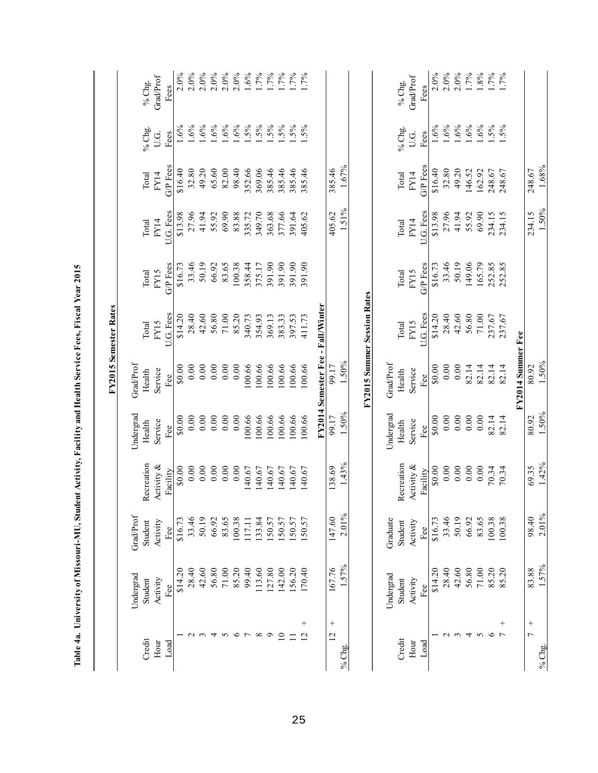|                          |           |           |            |                                             |                    | FY2015 Semester Rates              |          |           |                 |         |                            |
|--------------------------|-----------|-----------|------------|---------------------------------------------|--------------------|------------------------------------|----------|-----------|-----------------|---------|----------------------------|
|                          | Undergrad | Grad/Prof |            | Undergrad                                   | GradProf           |                                    |          |           |                 |         |                            |
| Credit                   | Student   | Student   | Recreation | Health                                      | Health             | Total                              | Total    | Total     | Total           | % Chg.  | % $Chg.$                   |
| Hour                     | Activity  | Activity  | Activity & | Service                                     | Service            | FY15                               | FY15     | FY14      | FY14            | U.G.    | Grad/Prof                  |
| Load                     | Fee       | Fee       | Facility   | Fee $\epsilon$                              | Fee                | U.G. Fees                          | G/P Fees | U.G. Fees | <b>G/P</b> Fees | Fees    | Fees                       |
|                          | \$14.20   | \$16.73   | \$0.00     | 0.00                                        | 0.008              | \$14.20                            | \$16.73  | \$13.98   | \$16.40         | $.6\%$  | 2.0%                       |
|                          | 28.40     | 33.46     | 0.00       |                                             | 0.00               | 28.40                              | 33.46    | 27.96     | 32.80           | 1.6%    | 2.0%                       |
| $\epsilon$               | 42.60     | 50.19     | 0.00       | $\begin{array}{c} 0.00 \\ 0.00 \end{array}$ | 0.00               | 42.60                              | 50.19    | 41.94     | 49.20           | .6%     | 2.0%                       |
| 4                        | 56.80     | 66.92     | 0.00       | 0.00                                        | 0.00               | 56.80                              | 66.92    | 55.92     | 65.60           | 1.6%    | $2.0\%$                    |
| S                        | $71.00\,$ | 83.65     | 0.00       | 0.00                                        | 0.00               | 71.00                              | 83.65    | 69.90     | 82.00           | 1.6%    | 2.0%                       |
| $\circ$                  | 85.20     | 100.38    | 0.00       | 0.00                                        | 0.00               | 85.20                              | 100.38   | 83.88     | 98.40           | $.6\%$  | $2.0\%$                    |
| $\overline{ }$           | 99.40     | 117.11    | 140.67     | 100.66                                      | 100.66             | 340.73                             | 358.44   | 335.72    | 352.66          | $1.5\%$ | 1.6%                       |
| $^{\circ}$               | 113.60    | 133.84    | 140.67     | 100.66                                      | 100.66             | 354.93                             | 375.17   | 349.70    | 369.06          | $1.5\%$ |                            |
| Q                        | 127.80    | 150.57    | 140.67     | 100.66                                      | 100.66             | 369.13                             | 391.90   | 363.68    | 385.46          | $1.5\%$ | $1.7%$<br>$1.7%$<br>$1.7%$ |
| $\overline{10}$          | 142.00    | 150.57    | 140.67     | 100.66                                      | 100.66             | 383.33                             | 391.90   | 377.66    | 385.46          | $1.5\%$ |                            |
| Ξ                        | 156.20    | 150.57    | 140.67     | 100.66                                      | 100.66             | 397.53                             | 391.90   | 391.64    | 385.46          | 1.5%    | 1.7%                       |
| $^{+}$<br>$\overline{2}$ | 170.40    | 150.57    | 140.67     | 100.66                                      | 100.66             | 411.73                             | 391.90   | 405.62    | 385.46          | 1.5%    | $.7\%$                     |
|                          |           |           |            |                                             |                    | FY2014 Semester Fee - Fall/Winter  |          |           |                 |         |                            |
| $+$<br>$\overline{c}$    | 167.76    | 147.60    | 138.69     | 99.17                                       | 99.17              |                                    |          | 405.62    | 385.46          |         |                            |
| % Chg.                   | 1.57%     | $2.01\%$  | 1.43%      | 1.50%                                       | 1.50%              |                                    |          | 1.51%     | 1.67%           |         |                            |
|                          |           |           |            |                                             |                    | <b>FY2015 Summer Session Rates</b> |          |           |                 |         |                            |
|                          | Undergrad | Graduate  |            | Undergrad                                   | GradProf           |                                    |          |           |                 |         |                            |
| Credit                   | Student   | Student   | Recreation | Health                                      | Health             | Total                              | Total    | Total     | Total           | % Chg.  | % Chg.                     |
| Hour                     | Activity  | Activity  | Activity & | Service                                     | Service            | FY15                               | FY15     | FY14      | FY14            | U.G.    | <b>Grad/Prof</b>           |
| Load                     | Fee       | Fee       | Facility   | Fee                                         | Fee $\overline{ }$ | U.G. Fees                          | G/P Fees | U.G. Fees | G/P Fees        | Fees    | Fees                       |
|                          | \$14.20   | \$16.73   | \$0.00     | \$0.00                                      | 0.08               | \$14.20                            | \$16.73  | \$13.98   | \$16.40         | 1.6%    | $2.0\%$                    |
| $\sim$ $\sim$            | 28.40     | 33.46     | 0.00       | 0.00                                        | 0.00               | 28.40                              | 33.46    | 27.96     | 32.80           | 1.6%    | $2.0\%$                    |
|                          | 42.60     | 50.19     | 0.00       | 0.00                                        | 0.00               | 42.60                              | 50.19    | 41.94     | 49.20           | 1.6%    | $2.0\%$                    |
| $\overline{4}$           | 56.80     | 66.92     | 0.00       | 0.00                                        | 82.14              | 56.80                              | 149.06   | 55.92     | 146.52          | $1.6\%$ | 1.7%                       |
| $\boldsymbol{\varsigma}$ | 71.00     | 83.65     | 0.00       | 0.00                                        | 82.14              | 71.00                              | 165.79   | 69.90     | 162.92          | .6%     | 1.8%                       |
| $\circ$                  | 85.20     | 100.38    | 70.34      | 82.14                                       | 82.14              | 237.67                             | 252.85   | 234.15    | 248.67          | $1.5\%$ | $1.7\%$<br>1.7%            |
| $^{+}$<br>$\overline{ }$ | 85.20     | 100.38    | 70.34      | 82.14                                       | 82.14              | 237.67                             | 252.85   | 234.15    | 248.67          | $.5\%$  |                            |
|                          |           |           |            |                                             | FY2014 Summer Fee  |                                    |          |           |                 |         |                            |
| $^{+}$<br>$\overline{ }$ | 83.88     | 98.40     | 69.35      | 80.92                                       | 80.92              |                                    |          | 234.15    | 248.67          |         |                            |
| % $Chg.$                 | 1.57%     | 2.01%     | 1.42%      | 1.50%                                       | 1.50%              |                                    |          | 1.50%     | $1.68\%$        |         |                            |

Table 4a. University of Missouri-MU, Student Activity, Facility and Health Service Fees, Fiscal Year 2015  **Table 4a. University of Missouri-MU, Student Activity, Facility and Health Service Fees, Fiscal Year 2015**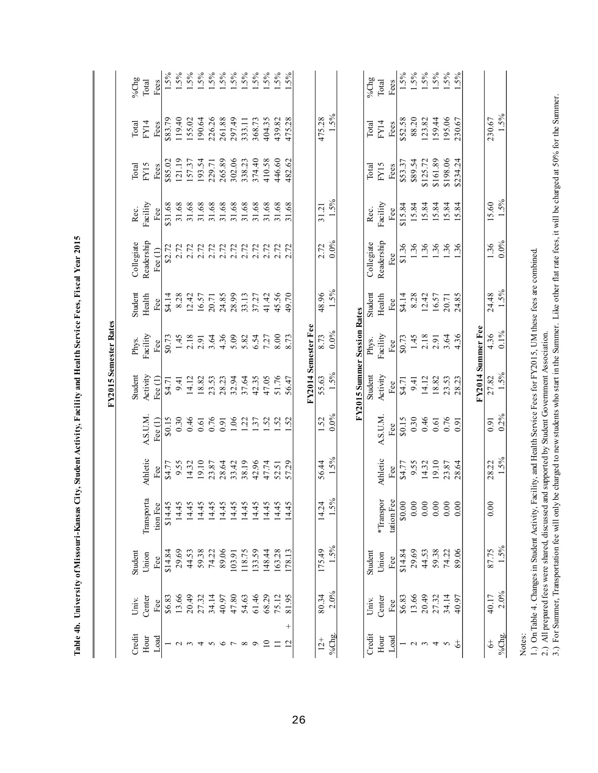| 1.5%<br>475.28<br>195.06<br>119.40<br>226.26<br>297.49<br>404.35<br>439.82<br>475.28<br>88.20<br>159.44<br>230.67<br>\$83.79<br>155.02<br>190.64<br>261.88<br>368.73<br>\$52.58<br>123.82<br>230.67<br>333.11<br>FY14<br>FY14<br>Total<br>Total<br>Fees<br>Fees<br>\$198.06<br>121.19<br>265.89<br>302.06<br>374.40<br>446.60<br>\$161.89<br>\$234.24<br>193.54<br>338.23<br>410.58<br>482.62<br>\$89.54<br>\$85.02<br>157.37<br>\$53.37<br>\$125.72<br>229.71<br>FY15<br>FY15<br><b>Total</b><br>Fees<br>Total<br>Fees<br>1.5%<br>Facility<br>15.60<br>Facility<br>31.68<br>15.84<br>31.68<br>31.68<br>31.68<br>31.68<br>31.68<br>31.68<br>31.68<br>31.68<br>31.68<br>31.68<br>15.84<br>15.84<br>\$31.68<br>31.21<br>\$15.84<br>15.84<br>15.84<br>Rec.<br>Rec.<br>Fee<br>Fee<br>Readership<br>$0.0\%$<br>Readership<br>Collegiate<br>Collegiate<br>1.36<br>1.36<br>1.36<br>1.36<br>2.72<br>1.36<br>36<br>\$1.36<br>\$2.72<br>2.72<br>2.72<br>2.72<br>2.72<br>2.72<br>2.72<br>2.72<br>2.72<br>2.72<br>2.72<br>2.72<br>Fee $(1)$<br>Fee<br>1.5%<br>48.96<br>Student<br>Student<br>24.48<br>45.56<br>Health<br>8.28<br>12.42<br>24.85<br>28.99<br>41.42<br>Health<br>\$4.14<br>8.28<br>12.42<br>\$4.14<br>16.57<br>33.13<br>49.70<br>16.57<br>24.85<br>37.27<br>20.71<br>20.71<br>Fee<br>Fee<br>FY2015 Summer Session Rates<br>FY2014 Semester Fee<br>FY2014 Summer Fee<br>$0.0\%$<br>Facility<br>Facility<br>4.36<br>8.73<br>1.45<br>2.18<br>3.64<br>4.36<br>2.18<br>3.64<br>4.36<br>5.09<br>5.82<br>6.54<br>8.00<br>\$0.73<br>1.45<br>\$0.73<br>2.91<br>7.27<br>8.73<br>2.91<br>Phys.<br>Phys.<br>Fee<br>Fee<br>1.5%<br>Activity<br>Student<br>Student<br>Activity<br>51.76<br>27.82<br>18.82<br>42.35<br>47.05<br>55.63<br>23.53<br>14.12<br>23.53<br>28.23<br>32.94<br>37.64<br>56.47<br>14.12<br>18.82<br>28.23<br>Fee $(1)$<br>9.41<br>\$4.71<br>9.41<br>\$4.71<br>Fee<br>$0.0\%$<br>A.S.U.M.<br>A.S.U.M.<br>0.30<br>0.46<br>1.52<br>0.30<br>0.46<br>0.76<br>\$0.15<br>0.76<br>1.06<br>\$0.15<br>0.91<br>0.61<br>$\ddot{5}$<br>$\cdot$ 37<br>52<br>52<br>0.61<br>Fee $(1)$<br>0.91<br>52<br>0.91<br>Fee<br>1.5%<br>Athletic<br>Athletic<br>56.44<br>19.10<br>38.19<br>42.96<br>47.74<br>19.10<br>28.22<br>9.55<br>23.87<br>28.64<br>33.42<br>57.29<br>9.55<br>14.32<br>23.87<br>14.32<br>\$4.77<br>28.64<br>\$4.77<br>52.51<br>Fee<br>Fee<br>Transporta<br>$5\%$<br>*Transpor<br>ee.<br>14.24<br>\$0.00<br>0.00<br>0.00<br>\$14.45<br>14.45<br>14.45<br>14.45<br>14.45<br>1445<br>1445<br>1445<br>14.45<br>tion Fee<br>14.45<br>14.45<br>45<br>tation I<br>≒<br>∡<br>1.5%<br>175.49<br>87.75<br>44.53<br>59.38<br>89.06<br>133.59<br>148.44<br>163.28<br>29.69<br>44.53<br>59.38<br>74.22<br>29.69<br>74.22<br>118.75<br>\$14.84<br>89.06<br>\$14.84<br>103.91<br>178.13<br>Student<br>Student<br>Union<br>Union<br>Fee<br>Fee<br>2.0%<br>80.34<br>61.46<br>68.29<br>13.66<br>20.49<br>34.14<br>40.17<br>13.66<br>20.49<br>34.14<br>47.80<br>75.12<br>27.32<br>27.32<br>40.97<br>54.63<br>81.95<br>\$6.83<br>\$6.83<br>Center<br>Center<br>40.97<br>Univ.<br>Univ.<br>Fee<br>Fee<br>$^{+}$<br>Credit<br>% $\mathrm{Chg}.$<br>Credit<br>Hour<br>Hour<br>$L_{\text{odd}}$<br>Load<br>$12+$<br>$\ddot{\circ}$<br>$\overline{10}$<br>$\overline{12}$<br>\$<br>$\equiv$<br>$\circ$<br>$\circ$<br>$\infty$<br>$\epsilon$<br>4<br>S<br>$\sim$<br>3<br>5<br>$\sim$ | 1.5%<br>1.5%<br>$0.0\%$<br>1.5%<br>$0.1\%$<br>1.5%<br>$0.2\%$<br>1.5%<br>1.5%<br>2.0%<br>$%$ Chg. | Facility, and Health Service Fees for FY2015, UM these fees are combined.<br>1.) On Table 4. Changes in Student Activity,<br>Notes: |  |  |  | <b>FY2015 Semester Rates</b> |  |  |         |
|----------------------------------------------------------------------------------------------------------------------------------------------------------------------------------------------------------------------------------------------------------------------------------------------------------------------------------------------------------------------------------------------------------------------------------------------------------------------------------------------------------------------------------------------------------------------------------------------------------------------------------------------------------------------------------------------------------------------------------------------------------------------------------------------------------------------------------------------------------------------------------------------------------------------------------------------------------------------------------------------------------------------------------------------------------------------------------------------------------------------------------------------------------------------------------------------------------------------------------------------------------------------------------------------------------------------------------------------------------------------------------------------------------------------------------------------------------------------------------------------------------------------------------------------------------------------------------------------------------------------------------------------------------------------------------------------------------------------------------------------------------------------------------------------------------------------------------------------------------------------------------------------------------------------------------------------------------------------------------------------------------------------------------------------------------------------------------------------------------------------------------------------------------------------------------------------------------------------------------------------------------------------------------------------------------------------------------------------------------------------------------------------------------------------------------------------------------------------------------------------------------------------------------------------------------------------------------------------------------------------------------------------------------------------------------------------------------------------------------------------------------------------------------------------------------------------------------------------------------------------------------------------------------------------------------------------------------------------------------------------------------------------------------------------------------------------------------------------------------------------------------------------------------------------------------------------------------------------------------------------------------------------------------------------------------------------------------------------------------------|---------------------------------------------------------------------------------------------------|-------------------------------------------------------------------------------------------------------------------------------------|--|--|--|------------------------------|--|--|---------|
|                                                                                                                                                                                                                                                                                                                                                                                                                                                                                                                                                                                                                                                                                                                                                                                                                                                                                                                                                                                                                                                                                                                                                                                                                                                                                                                                                                                                                                                                                                                                                                                                                                                                                                                                                                                                                                                                                                                                                                                                                                                                                                                                                                                                                                                                                                                                                                                                                                                                                                                                                                                                                                                                                                                                                                                                                                                                                                                                                                                                                                                                                                                                                                                                                                                                                                                                                                |                                                                                                   |                                                                                                                                     |  |  |  |                              |  |  | % $Chg$ |
|                                                                                                                                                                                                                                                                                                                                                                                                                                                                                                                                                                                                                                                                                                                                                                                                                                                                                                                                                                                                                                                                                                                                                                                                                                                                                                                                                                                                                                                                                                                                                                                                                                                                                                                                                                                                                                                                                                                                                                                                                                                                                                                                                                                                                                                                                                                                                                                                                                                                                                                                                                                                                                                                                                                                                                                                                                                                                                                                                                                                                                                                                                                                                                                                                                                                                                                                                                |                                                                                                   |                                                                                                                                     |  |  |  |                              |  |  | Total   |
|                                                                                                                                                                                                                                                                                                                                                                                                                                                                                                                                                                                                                                                                                                                                                                                                                                                                                                                                                                                                                                                                                                                                                                                                                                                                                                                                                                                                                                                                                                                                                                                                                                                                                                                                                                                                                                                                                                                                                                                                                                                                                                                                                                                                                                                                                                                                                                                                                                                                                                                                                                                                                                                                                                                                                                                                                                                                                                                                                                                                                                                                                                                                                                                                                                                                                                                                                                |                                                                                                   |                                                                                                                                     |  |  |  |                              |  |  | Fees    |
|                                                                                                                                                                                                                                                                                                                                                                                                                                                                                                                                                                                                                                                                                                                                                                                                                                                                                                                                                                                                                                                                                                                                                                                                                                                                                                                                                                                                                                                                                                                                                                                                                                                                                                                                                                                                                                                                                                                                                                                                                                                                                                                                                                                                                                                                                                                                                                                                                                                                                                                                                                                                                                                                                                                                                                                                                                                                                                                                                                                                                                                                                                                                                                                                                                                                                                                                                                |                                                                                                   |                                                                                                                                     |  |  |  |                              |  |  | 1.5%    |
|                                                                                                                                                                                                                                                                                                                                                                                                                                                                                                                                                                                                                                                                                                                                                                                                                                                                                                                                                                                                                                                                                                                                                                                                                                                                                                                                                                                                                                                                                                                                                                                                                                                                                                                                                                                                                                                                                                                                                                                                                                                                                                                                                                                                                                                                                                                                                                                                                                                                                                                                                                                                                                                                                                                                                                                                                                                                                                                                                                                                                                                                                                                                                                                                                                                                                                                                                                |                                                                                                   |                                                                                                                                     |  |  |  |                              |  |  | $1.5\%$ |
|                                                                                                                                                                                                                                                                                                                                                                                                                                                                                                                                                                                                                                                                                                                                                                                                                                                                                                                                                                                                                                                                                                                                                                                                                                                                                                                                                                                                                                                                                                                                                                                                                                                                                                                                                                                                                                                                                                                                                                                                                                                                                                                                                                                                                                                                                                                                                                                                                                                                                                                                                                                                                                                                                                                                                                                                                                                                                                                                                                                                                                                                                                                                                                                                                                                                                                                                                                |                                                                                                   |                                                                                                                                     |  |  |  |                              |  |  | $5\%$   |
|                                                                                                                                                                                                                                                                                                                                                                                                                                                                                                                                                                                                                                                                                                                                                                                                                                                                                                                                                                                                                                                                                                                                                                                                                                                                                                                                                                                                                                                                                                                                                                                                                                                                                                                                                                                                                                                                                                                                                                                                                                                                                                                                                                                                                                                                                                                                                                                                                                                                                                                                                                                                                                                                                                                                                                                                                                                                                                                                                                                                                                                                                                                                                                                                                                                                                                                                                                |                                                                                                   |                                                                                                                                     |  |  |  |                              |  |  | $.5\%$  |
|                                                                                                                                                                                                                                                                                                                                                                                                                                                                                                                                                                                                                                                                                                                                                                                                                                                                                                                                                                                                                                                                                                                                                                                                                                                                                                                                                                                                                                                                                                                                                                                                                                                                                                                                                                                                                                                                                                                                                                                                                                                                                                                                                                                                                                                                                                                                                                                                                                                                                                                                                                                                                                                                                                                                                                                                                                                                                                                                                                                                                                                                                                                                                                                                                                                                                                                                                                |                                                                                                   |                                                                                                                                     |  |  |  |                              |  |  | $.5\%$  |
|                                                                                                                                                                                                                                                                                                                                                                                                                                                                                                                                                                                                                                                                                                                                                                                                                                                                                                                                                                                                                                                                                                                                                                                                                                                                                                                                                                                                                                                                                                                                                                                                                                                                                                                                                                                                                                                                                                                                                                                                                                                                                                                                                                                                                                                                                                                                                                                                                                                                                                                                                                                                                                                                                                                                                                                                                                                                                                                                                                                                                                                                                                                                                                                                                                                                                                                                                                |                                                                                                   |                                                                                                                                     |  |  |  |                              |  |  | $.5\%$  |
|                                                                                                                                                                                                                                                                                                                                                                                                                                                                                                                                                                                                                                                                                                                                                                                                                                                                                                                                                                                                                                                                                                                                                                                                                                                                                                                                                                                                                                                                                                                                                                                                                                                                                                                                                                                                                                                                                                                                                                                                                                                                                                                                                                                                                                                                                                                                                                                                                                                                                                                                                                                                                                                                                                                                                                                                                                                                                                                                                                                                                                                                                                                                                                                                                                                                                                                                                                |                                                                                                   |                                                                                                                                     |  |  |  |                              |  |  | $.5\%$  |
|                                                                                                                                                                                                                                                                                                                                                                                                                                                                                                                                                                                                                                                                                                                                                                                                                                                                                                                                                                                                                                                                                                                                                                                                                                                                                                                                                                                                                                                                                                                                                                                                                                                                                                                                                                                                                                                                                                                                                                                                                                                                                                                                                                                                                                                                                                                                                                                                                                                                                                                                                                                                                                                                                                                                                                                                                                                                                                                                                                                                                                                                                                                                                                                                                                                                                                                                                                |                                                                                                   |                                                                                                                                     |  |  |  |                              |  |  | $.5\%$  |
|                                                                                                                                                                                                                                                                                                                                                                                                                                                                                                                                                                                                                                                                                                                                                                                                                                                                                                                                                                                                                                                                                                                                                                                                                                                                                                                                                                                                                                                                                                                                                                                                                                                                                                                                                                                                                                                                                                                                                                                                                                                                                                                                                                                                                                                                                                                                                                                                                                                                                                                                                                                                                                                                                                                                                                                                                                                                                                                                                                                                                                                                                                                                                                                                                                                                                                                                                                |                                                                                                   |                                                                                                                                     |  |  |  |                              |  |  | $.5\%$  |
|                                                                                                                                                                                                                                                                                                                                                                                                                                                                                                                                                                                                                                                                                                                                                                                                                                                                                                                                                                                                                                                                                                                                                                                                                                                                                                                                                                                                                                                                                                                                                                                                                                                                                                                                                                                                                                                                                                                                                                                                                                                                                                                                                                                                                                                                                                                                                                                                                                                                                                                                                                                                                                                                                                                                                                                                                                                                                                                                                                                                                                                                                                                                                                                                                                                                                                                                                                |                                                                                                   |                                                                                                                                     |  |  |  |                              |  |  | 1.5%    |
|                                                                                                                                                                                                                                                                                                                                                                                                                                                                                                                                                                                                                                                                                                                                                                                                                                                                                                                                                                                                                                                                                                                                                                                                                                                                                                                                                                                                                                                                                                                                                                                                                                                                                                                                                                                                                                                                                                                                                                                                                                                                                                                                                                                                                                                                                                                                                                                                                                                                                                                                                                                                                                                                                                                                                                                                                                                                                                                                                                                                                                                                                                                                                                                                                                                                                                                                                                |                                                                                                   |                                                                                                                                     |  |  |  |                              |  |  | $.5\%$  |
|                                                                                                                                                                                                                                                                                                                                                                                                                                                                                                                                                                                                                                                                                                                                                                                                                                                                                                                                                                                                                                                                                                                                                                                                                                                                                                                                                                                                                                                                                                                                                                                                                                                                                                                                                                                                                                                                                                                                                                                                                                                                                                                                                                                                                                                                                                                                                                                                                                                                                                                                                                                                                                                                                                                                                                                                                                                                                                                                                                                                                                                                                                                                                                                                                                                                                                                                                                |                                                                                                   |                                                                                                                                     |  |  |  |                              |  |  | $5\%$   |
|                                                                                                                                                                                                                                                                                                                                                                                                                                                                                                                                                                                                                                                                                                                                                                                                                                                                                                                                                                                                                                                                                                                                                                                                                                                                                                                                                                                                                                                                                                                                                                                                                                                                                                                                                                                                                                                                                                                                                                                                                                                                                                                                                                                                                                                                                                                                                                                                                                                                                                                                                                                                                                                                                                                                                                                                                                                                                                                                                                                                                                                                                                                                                                                                                                                                                                                                                                |                                                                                                   |                                                                                                                                     |  |  |  |                              |  |  |         |
|                                                                                                                                                                                                                                                                                                                                                                                                                                                                                                                                                                                                                                                                                                                                                                                                                                                                                                                                                                                                                                                                                                                                                                                                                                                                                                                                                                                                                                                                                                                                                                                                                                                                                                                                                                                                                                                                                                                                                                                                                                                                                                                                                                                                                                                                                                                                                                                                                                                                                                                                                                                                                                                                                                                                                                                                                                                                                                                                                                                                                                                                                                                                                                                                                                                                                                                                                                |                                                                                                   |                                                                                                                                     |  |  |  |                              |  |  |         |
|                                                                                                                                                                                                                                                                                                                                                                                                                                                                                                                                                                                                                                                                                                                                                                                                                                                                                                                                                                                                                                                                                                                                                                                                                                                                                                                                                                                                                                                                                                                                                                                                                                                                                                                                                                                                                                                                                                                                                                                                                                                                                                                                                                                                                                                                                                                                                                                                                                                                                                                                                                                                                                                                                                                                                                                                                                                                                                                                                                                                                                                                                                                                                                                                                                                                                                                                                                |                                                                                                   |                                                                                                                                     |  |  |  |                              |  |  |         |
|                                                                                                                                                                                                                                                                                                                                                                                                                                                                                                                                                                                                                                                                                                                                                                                                                                                                                                                                                                                                                                                                                                                                                                                                                                                                                                                                                                                                                                                                                                                                                                                                                                                                                                                                                                                                                                                                                                                                                                                                                                                                                                                                                                                                                                                                                                                                                                                                                                                                                                                                                                                                                                                                                                                                                                                                                                                                                                                                                                                                                                                                                                                                                                                                                                                                                                                                                                |                                                                                                   |                                                                                                                                     |  |  |  |                              |  |  |         |
|                                                                                                                                                                                                                                                                                                                                                                                                                                                                                                                                                                                                                                                                                                                                                                                                                                                                                                                                                                                                                                                                                                                                                                                                                                                                                                                                                                                                                                                                                                                                                                                                                                                                                                                                                                                                                                                                                                                                                                                                                                                                                                                                                                                                                                                                                                                                                                                                                                                                                                                                                                                                                                                                                                                                                                                                                                                                                                                                                                                                                                                                                                                                                                                                                                                                                                                                                                |                                                                                                   |                                                                                                                                     |  |  |  |                              |  |  |         |
|                                                                                                                                                                                                                                                                                                                                                                                                                                                                                                                                                                                                                                                                                                                                                                                                                                                                                                                                                                                                                                                                                                                                                                                                                                                                                                                                                                                                                                                                                                                                                                                                                                                                                                                                                                                                                                                                                                                                                                                                                                                                                                                                                                                                                                                                                                                                                                                                                                                                                                                                                                                                                                                                                                                                                                                                                                                                                                                                                                                                                                                                                                                                                                                                                                                                                                                                                                |                                                                                                   |                                                                                                                                     |  |  |  |                              |  |  | % $Chg$ |
|                                                                                                                                                                                                                                                                                                                                                                                                                                                                                                                                                                                                                                                                                                                                                                                                                                                                                                                                                                                                                                                                                                                                                                                                                                                                                                                                                                                                                                                                                                                                                                                                                                                                                                                                                                                                                                                                                                                                                                                                                                                                                                                                                                                                                                                                                                                                                                                                                                                                                                                                                                                                                                                                                                                                                                                                                                                                                                                                                                                                                                                                                                                                                                                                                                                                                                                                                                |                                                                                                   |                                                                                                                                     |  |  |  |                              |  |  | Total   |
|                                                                                                                                                                                                                                                                                                                                                                                                                                                                                                                                                                                                                                                                                                                                                                                                                                                                                                                                                                                                                                                                                                                                                                                                                                                                                                                                                                                                                                                                                                                                                                                                                                                                                                                                                                                                                                                                                                                                                                                                                                                                                                                                                                                                                                                                                                                                                                                                                                                                                                                                                                                                                                                                                                                                                                                                                                                                                                                                                                                                                                                                                                                                                                                                                                                                                                                                                                |                                                                                                   |                                                                                                                                     |  |  |  |                              |  |  | Fees    |
|                                                                                                                                                                                                                                                                                                                                                                                                                                                                                                                                                                                                                                                                                                                                                                                                                                                                                                                                                                                                                                                                                                                                                                                                                                                                                                                                                                                                                                                                                                                                                                                                                                                                                                                                                                                                                                                                                                                                                                                                                                                                                                                                                                                                                                                                                                                                                                                                                                                                                                                                                                                                                                                                                                                                                                                                                                                                                                                                                                                                                                                                                                                                                                                                                                                                                                                                                                |                                                                                                   |                                                                                                                                     |  |  |  |                              |  |  | 1.5%    |
|                                                                                                                                                                                                                                                                                                                                                                                                                                                                                                                                                                                                                                                                                                                                                                                                                                                                                                                                                                                                                                                                                                                                                                                                                                                                                                                                                                                                                                                                                                                                                                                                                                                                                                                                                                                                                                                                                                                                                                                                                                                                                                                                                                                                                                                                                                                                                                                                                                                                                                                                                                                                                                                                                                                                                                                                                                                                                                                                                                                                                                                                                                                                                                                                                                                                                                                                                                |                                                                                                   |                                                                                                                                     |  |  |  |                              |  |  | $.5\%$  |
|                                                                                                                                                                                                                                                                                                                                                                                                                                                                                                                                                                                                                                                                                                                                                                                                                                                                                                                                                                                                                                                                                                                                                                                                                                                                                                                                                                                                                                                                                                                                                                                                                                                                                                                                                                                                                                                                                                                                                                                                                                                                                                                                                                                                                                                                                                                                                                                                                                                                                                                                                                                                                                                                                                                                                                                                                                                                                                                                                                                                                                                                                                                                                                                                                                                                                                                                                                |                                                                                                   |                                                                                                                                     |  |  |  |                              |  |  | $1.5\%$ |
|                                                                                                                                                                                                                                                                                                                                                                                                                                                                                                                                                                                                                                                                                                                                                                                                                                                                                                                                                                                                                                                                                                                                                                                                                                                                                                                                                                                                                                                                                                                                                                                                                                                                                                                                                                                                                                                                                                                                                                                                                                                                                                                                                                                                                                                                                                                                                                                                                                                                                                                                                                                                                                                                                                                                                                                                                                                                                                                                                                                                                                                                                                                                                                                                                                                                                                                                                                |                                                                                                   |                                                                                                                                     |  |  |  |                              |  |  | $1.5\%$ |
|                                                                                                                                                                                                                                                                                                                                                                                                                                                                                                                                                                                                                                                                                                                                                                                                                                                                                                                                                                                                                                                                                                                                                                                                                                                                                                                                                                                                                                                                                                                                                                                                                                                                                                                                                                                                                                                                                                                                                                                                                                                                                                                                                                                                                                                                                                                                                                                                                                                                                                                                                                                                                                                                                                                                                                                                                                                                                                                                                                                                                                                                                                                                                                                                                                                                                                                                                                |                                                                                                   |                                                                                                                                     |  |  |  |                              |  |  | $1.5\%$ |
|                                                                                                                                                                                                                                                                                                                                                                                                                                                                                                                                                                                                                                                                                                                                                                                                                                                                                                                                                                                                                                                                                                                                                                                                                                                                                                                                                                                                                                                                                                                                                                                                                                                                                                                                                                                                                                                                                                                                                                                                                                                                                                                                                                                                                                                                                                                                                                                                                                                                                                                                                                                                                                                                                                                                                                                                                                                                                                                                                                                                                                                                                                                                                                                                                                                                                                                                                                |                                                                                                   |                                                                                                                                     |  |  |  |                              |  |  | $5\%$   |
|                                                                                                                                                                                                                                                                                                                                                                                                                                                                                                                                                                                                                                                                                                                                                                                                                                                                                                                                                                                                                                                                                                                                                                                                                                                                                                                                                                                                                                                                                                                                                                                                                                                                                                                                                                                                                                                                                                                                                                                                                                                                                                                                                                                                                                                                                                                                                                                                                                                                                                                                                                                                                                                                                                                                                                                                                                                                                                                                                                                                                                                                                                                                                                                                                                                                                                                                                                |                                                                                                   |                                                                                                                                     |  |  |  |                              |  |  |         |
|                                                                                                                                                                                                                                                                                                                                                                                                                                                                                                                                                                                                                                                                                                                                                                                                                                                                                                                                                                                                                                                                                                                                                                                                                                                                                                                                                                                                                                                                                                                                                                                                                                                                                                                                                                                                                                                                                                                                                                                                                                                                                                                                                                                                                                                                                                                                                                                                                                                                                                                                                                                                                                                                                                                                                                                                                                                                                                                                                                                                                                                                                                                                                                                                                                                                                                                                                                |                                                                                                   |                                                                                                                                     |  |  |  |                              |  |  |         |
|                                                                                                                                                                                                                                                                                                                                                                                                                                                                                                                                                                                                                                                                                                                                                                                                                                                                                                                                                                                                                                                                                                                                                                                                                                                                                                                                                                                                                                                                                                                                                                                                                                                                                                                                                                                                                                                                                                                                                                                                                                                                                                                                                                                                                                                                                                                                                                                                                                                                                                                                                                                                                                                                                                                                                                                                                                                                                                                                                                                                                                                                                                                                                                                                                                                                                                                                                                |                                                                                                   |                                                                                                                                     |  |  |  |                              |  |  |         |
|                                                                                                                                                                                                                                                                                                                                                                                                                                                                                                                                                                                                                                                                                                                                                                                                                                                                                                                                                                                                                                                                                                                                                                                                                                                                                                                                                                                                                                                                                                                                                                                                                                                                                                                                                                                                                                                                                                                                                                                                                                                                                                                                                                                                                                                                                                                                                                                                                                                                                                                                                                                                                                                                                                                                                                                                                                                                                                                                                                                                                                                                                                                                                                                                                                                                                                                                                                |                                                                                                   |                                                                                                                                     |  |  |  |                              |  |  |         |

Table 4b. University of Missouri-Kansas City, Student Activity, Facility and Health Service Fees, Fiscal Year 2015 **Table 4b. University of Missouri-Kansas City, Student Activity, Facility and Health Service Fees, Fiscal Year 2015**

3.) For Summer, Transportation fee will only be charged to new students who start in the Summer. Like other flat rate fees, it will be charged at 50% for the Summer. 3.) For Summer, Transportation fee will only be charged to new students who start in the Summer. Like other flat rate fees, it will be charged at 50% for the Summer.